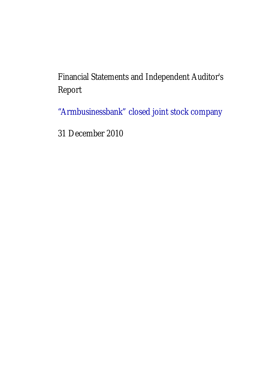Financial Statements and Independent Auditor's Report

"Armbusinessbank" closed joint stock company

31 December 2010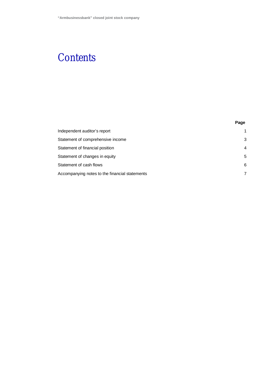# **Contents**

|                                                | Page           |
|------------------------------------------------|----------------|
| Independent auditor's report                   |                |
| Statement of comprehensive income              | 3              |
| Statement of financial position                | 4              |
| Statement of changes in equity                 | 5              |
| Statement of cash flows                        | 6              |
| Accompanying notes to the financial statements | $\overline{7}$ |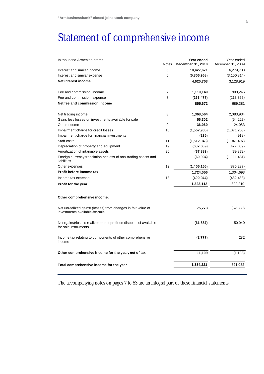# Statement of comprehensive income

| In thousand Armenian drams                                                                     | <b>Notes</b>   | Year ended<br>December 31, 2010 | Year ended<br>December 31, 2009 |
|------------------------------------------------------------------------------------------------|----------------|---------------------------------|---------------------------------|
| Interest and similar income                                                                    | 6              | 10,427,671                      | 6,279,733                       |
| Interest and similar expense                                                                   | 6              | (5,806,968)                     | (3, 150, 814)                   |
| Net interest income                                                                            |                | 4,620,703                       | 3,128,919                       |
| Fee and commission income                                                                      | $\overline{7}$ | 1,119,149                       | 903,246                         |
| Fee and commission expense                                                                     | $\overline{7}$ | (263, 477)                      | (213, 865)                      |
| Net fee and commission income                                                                  |                | 855,672                         | 689,381                         |
| Net trading income                                                                             | 8              | 1,368,564                       | 2,083,934                       |
| Gains less losses on investments available for sale                                            |                | 56,302                          | (54, 227)                       |
| Other income                                                                                   | 9              | 36,060                          | 24,983                          |
| Impairment charge for credit losses                                                            | 10             | (1, 557, 985)                   | (1,071,263)                     |
| Impairment charge for financial investments                                                    |                | (295)                           | (918)                           |
| Staff costs                                                                                    | 11             | (1,512,943)                     | (1,041,407)                     |
| Depreciation of property and equipment                                                         | 19             | (637,069)                       | (427, 059)                      |
| Amortization of intangible assets                                                              | 20             | (37, 883)                       | (39, 872)                       |
| Foreign currency translation net loss of non-trading assets and<br>liabilities                 |                | (60, 904)                       | (1, 111, 481)                   |
| Other expenses                                                                                 | 12             | (1,406,166)                     | (876, 297)                      |
| Profit before income tax                                                                       |                | 1,724,056                       | 1,304,693                       |
| Income tax expense                                                                             | 13             | (400, 944)                      | (482, 483)                      |
| Profit for the year                                                                            |                | 1,323,112                       | 822,210                         |
| Other comprehensive income:                                                                    |                |                                 |                                 |
| Net unrealized gains/ (losses) from changes in fair value of<br>investments available-for-sale |                | 75,773                          | (52, 350)                       |
| Net (gains)/losses realized to net profit on disposal of available-<br>for-sale instruments    |                | (61, 887)                       | 50,940                          |
| Income tax relating to components of other comprehensive<br>income                             |                | (2,777)                         | 282                             |
| Other comprehensive income for the year, net of tax                                            |                | 11,109                          | (1, 128)                        |
| Total comprehensive income for the year                                                        |                | 1,334,221                       | 821,082                         |

The accompanying notes on pages 7 to 53 are an integral part of these financial statements.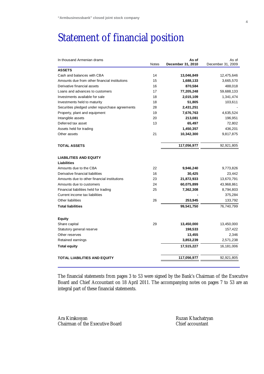# Statement of financial position

| <b>Notes</b> | As of<br>December 31, 2010 | As of<br>December 31, 2009                                   |
|--------------|----------------------------|--------------------------------------------------------------|
|              |                            |                                                              |
| 14           | 13,046,849                 | 12,475,646                                                   |
| 15           | 1,688,133                  | 3,665,570                                                    |
| 16           | 870,584                    | 488,018                                                      |
| 17           | 77,205,248                 | 59,688,133                                                   |
| 18           | 2,015,109                  | 1,341,474                                                    |
| 18           | 51,805                     | 103,611                                                      |
| 28           | 2,431,251                  |                                                              |
| 19           | 7,676,763                  | 4,635,524                                                    |
| 20           | 213,081                    | 196,951                                                      |
| 13           | 65,497                     | 72,802                                                       |
|              | 1,450,357                  | 436,201                                                      |
| 21           | 10,342,300                 | 9,817,875                                                    |
|              | 117,056,977                | 92,921,805                                                   |
|              |                            |                                                              |
|              |                            | 9,773,826                                                    |
|              |                            | 23,442                                                       |
| 23           |                            | 13,670,791                                                   |
| 24           |                            | 43,968,861                                                   |
| 25           |                            | 8,794,803                                                    |
|              |                            | 375,284                                                      |
| 26           | 253,945                    | 133,792                                                      |
|              | 99,541,750                 | 76,740,799                                                   |
|              |                            |                                                              |
| 29           | 13,450,000                 | 13,450,000                                                   |
|              | 198,533                    | 157,422                                                      |
|              | 13,455                     | 2,346                                                        |
|              | 3,853,239                  | 2,571,238                                                    |
|              | 17,515,227                 | 16,181,006                                                   |
|              | 117,056,977                | 92,921,805                                                   |
|              | 22<br>16                   | 9,946,240<br>30,425<br>21,872,933<br>60,075,899<br>7,362,308 |

The financial statements from pages 3 to 53 were signed by the Bank's Chairman of the Executive Board and Chief Accountant on 18 April 2011. The accompanying notes on pages 7 to 53 are an integral part of these financial statements.

Ara Kirakosyan Chairman of the Executive Board Ruzan Khachatryan Chief accountant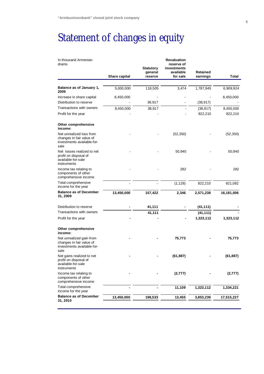# Statement of changes in equity

| In thousand Armenian<br>drams                                                              |               | <b>Statutory</b><br>general | <b>Revaluation</b><br>reserve of<br>investments<br>available | Retained  |            |
|--------------------------------------------------------------------------------------------|---------------|-----------------------------|--------------------------------------------------------------|-----------|------------|
|                                                                                            | Share capital | reserve                     | for sale                                                     | earnings  | Total      |
| Balance as of January 1,<br>2009                                                           | 5,000,000     | 118,505                     | 3,474                                                        | 1,787,945 | 6,909,924  |
| Increase in share capital                                                                  | 8,450,000     |                             |                                                              |           | 8,450,000  |
| Distribution to reserve                                                                    |               | 38,917                      |                                                              | (38, 917) |            |
| Transactions with owners                                                                   | 8,450,000     | 38,917                      |                                                              | (38, 917) | 8,450,000  |
| Profit for the year                                                                        |               |                             |                                                              | 822,210   | 822,210    |
| Other comprehensive<br>income:                                                             |               |                             |                                                              |           |            |
| Net unrealized loss from<br>changes in fair value of<br>investments available-for-<br>sale |               |                             | (52, 350)                                                    |           | (52, 350)  |
| Net losses realized to net<br>profit on disposal of<br>available-for-sale<br>instruments   |               |                             | 50,940                                                       |           | 50,940     |
| Income tax relating to<br>components of other<br>comprehensive income                      |               |                             | 282                                                          |           | 282        |
| Total comprehensive<br>income for the year                                                 |               |                             | (1, 128)                                                     | 822,210   | 821,082    |
| <b>Balance as of December</b><br>31, 2009                                                  | 13,450,000    | 157,422                     | 2,346                                                        | 2,571,238 | 16,181,006 |
| Distribution to reserve                                                                    |               | 41,111                      |                                                              | (41, 111) |            |
| Transactions with owners                                                                   |               | 41,111                      |                                                              | (41, 111) |            |
| Profit for the year                                                                        |               |                             |                                                              | 1,323,112 | 1,323,112  |
| Other comprehensive<br>income:                                                             |               |                             |                                                              |           |            |
| Net unrealized gain from<br>changes in fair value of<br>investments available-for-<br>sale |               |                             | 75,773                                                       |           | 75,773     |
| Net gains realized to net<br>profit on disposal of<br>available-for-sale<br>instruments    |               |                             | (61, 887)                                                    |           | (61, 887)  |
| Income tax relating to<br>components of other<br>comprehensive income                      |               |                             | (2,777)                                                      |           | (2, 777)   |
| Total comprehensive<br>income for the year                                                 |               |                             | 11,109                                                       | 1,323,112 | 1,334,221  |
| <b>Balance as of December</b><br>31, 2010                                                  | 13,450,000    | 198,533                     | 13,455                                                       | 3,853,239 | 17,515,227 |
|                                                                                            |               |                             |                                                              |           |            |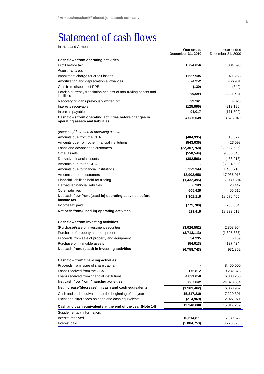# Statement of cash flows

| In thousand Armenian drams                                                     |                                 |                                 |
|--------------------------------------------------------------------------------|---------------------------------|---------------------------------|
|                                                                                | Year ended<br>December 31, 2010 | Year ended<br>December 31, 2009 |
| Cash flows from operating activities                                           |                                 |                                 |
| Profit before tax                                                              | 1,724,056                       | 1,304,693                       |
| Adjustments for:                                                               |                                 |                                 |
| Impairment charge for credit losses                                            | 1,557,985                       | 1,071,263                       |
| Amortization and depreciation allowances                                       | 674,952                         | 466,931                         |
| Gain from disposal of PPE                                                      | (130)                           | (349)                           |
| Foreign currency translation net loss of non-trading assets and<br>liabilities | 60,904                          | 1,111,481                       |
| Recovery of loans previously written off                                       | 99,261                          | 4,028                           |
| Interests receivable                                                           | (125, 996)                      | (213, 196)                      |
| Interests payable                                                              | 94,017                          | (171, 802)                      |
| Cash flows from operating activities before changes in                         | 4,085,049                       | 3,573,049                       |
| operating assets and liabilities                                               |                                 |                                 |
| (Increase)/decrease in operating assets                                        |                                 |                                 |
| Amounts due from the CBA                                                       | (404, 935)                      | (18,077)                        |
| Amounts due from other financial institutions                                  | (543,036)                       | 423,098                         |
| Loans and advances to customers                                                | (22, 307, 768)                  | (33,527,626)                    |
| Other assets                                                                   | (550, 544)                      | (9,366,046)                     |
| Derivative financial assets                                                    | (382, 566)                      | (488, 018)                      |
| Amounts due to the CBA                                                         |                                 | (3,804,505)                     |
| Amounts due to financial institutions                                          | 3,322,344                       | (1,458,710)                     |
| Amounts due to customers                                                       | 18,902,658                      | 17,936,018                      |
| Financial liabilities held for trading                                         | (1,432,495)                     | 7,980,304                       |
| Derivative financial liabilities                                               | 6,983                           | 23,442                          |
| Other liabilities                                                              | 605,429                         | 56,616                          |
| Net cash flow from/(used in) operating activities before<br>income tax         | 1,301,119                       | (18, 670, 455)                  |
| Income tax paid                                                                | (771, 700)                      | (263,064)                       |
| Net cash from/(used in) operating activities                                   | 529,419                         | (18,933,519)                    |
| Cash flows from investing activities                                           |                                 |                                 |
| (Purchase)/sale of investment securities                                       | (3,026,552)                     | 2,858,954                       |
| Purchase of property and equipment                                             | (3,713,113)                     | (1,805,837)                     |
| Proceeds from sale of property and equipment                                   | 34,935                          | 16,159                          |
| Purchase of intangible assets                                                  | (54, 013)                       | (137, 424)                      |
| Net cash from/ (used) in investing activities                                  | (6,758,743)                     | 931,852                         |
| Cash flow from financing activities                                            |                                 |                                 |
| Proceeds from issue of share capital                                           |                                 | 8,450,000                       |
| Loans received from the CBA                                                    | 176,812                         | 9,232,378                       |
| Loans received from financial institutions                                     | 4,891,050                       | 6,388,256                       |
| Net cash flow from financing activities                                        | 5,067,862                       | 24,070,634                      |
| Net increase/(decrease) in cash and cash equivalents                           | (1, 161, 462)                   | 6,068,967                       |
| Cash and cash equivalents at the beginning of the year                         | 15,317,239                      | 7,220,301                       |
| Exchange differences on cash and cash equivalents                              | (214, 969)                      | 2,027,971                       |
| Cash and cash equivalents at the end of the year (Note 14)                     | 13,940,808                      | 15,317,239                      |
| Supplementary information:                                                     |                                 |                                 |
| Interest received                                                              | 10,514,871                      | 6,139,572                       |
| Interest paid                                                                  | (5,884,753)                     | (3,220,893)                     |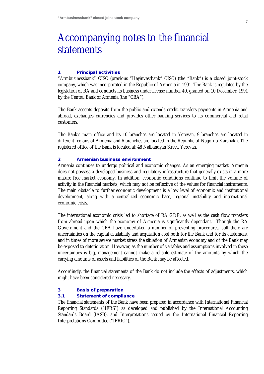# Accompanying notes to the financial statements

#### **1 Principal activities**

"Armbusinessbank" CJSC (previous "Hayinvestbank" CJSC) (the "Bank") is a closed joint-stock company, which was incorporated in the Republic of Armenia in 1991. The Bank is regulated by the legislation of RA and conducts its business under license number 40, granted on 10 December, 1991 by the Central Bank of Armenia (the "CBA").

The Bank accepts deposits from the public and extends credit, transfers payments in Armenia and abroad, exchanges currencies and provides other banking services to its commercial and retail customers.

The Bank's main office and its 10 branches are located in Yerevan, 9 branches are located in different regions of Armenia and 6 branches are located in the Republic of Nagorno Karabakh. The registered office of the Bank is located at: 48 Nalbandyan Street, Yerevan.

### **2 Armenian business environment**

Armenia continues to undergo political and economic changes. As an emerging market, Armenia does not possess a developed business and regulatory infrastructure that generally exists in a more mature free market economy. In addition, economic conditions continue to limit the volume of activity in the financial markets, which may not be reflective of the values for financial instruments. The main obstacle to further economic development is a low level of economic and institutional development, along with a centralized economic base, regional instability and international economic crisis.

The international economic crisis led to shortage of RA GDP, as well as the cash flow transfers from abroad upon which the economy of Armenia is significantly dependant. Though the RA Government and the CBA have undertaken a number of preventing procedures, still there are uncertainties on the capital availability and acquisition cost both for the Bank and for its customers, and in times of more severe market stress the situation of Armenian economy and of the Bank may be exposed to deterioration. However, as the number of variables and assumptions involved in these uncertainties is big, management cannot make a reliable estimate of the amounts by which the carrying amounts of assets and liabilities of the Bank may be affected.

Accordingly, the financial statements of the Bank do not include the effects of adjustments, which might have been considered necessary.

#### **3 Basis of preparation**

#### **3.1 Statement of compliance**

The financial statements of the Bank have been prepared in accordance with International Financial Reporting Standards ("IFRS") as developed and published by the International Accounting Standards Board (IASB), and Interpretations issued by the International Financial Reporting Interpretations Committee ("IFRIC").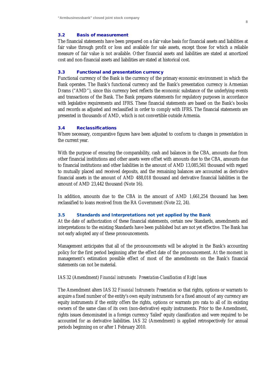#### **3.2 Basis of measurement**

The financial statements have been prepared on a fair value basis for financial assets and liabilities at fair value through profit or loss and available for sale assets, except those for which a reliable measure of fair value is not available. Other financial assets and liabilities are stated at amortized cost and non-financial assets and liabilities are stated at historical cost.

#### **3.3 Functional and presentation currency**

Functional currency of the Bank is the currency of the primary economic environment in which the Bank operates. The Bank's functional currency and the Bank's presentation currency is Armenian Drams ("AMD"), since this currency best reflects the economic substance of the underlying events and transactions of the Bank. The Bank prepares statements for regulatory purposes in accordance with legislative requirements and IFRS. These financial statements are based on the Bank's books and records as adjusted and reclassified in order to comply with IFRS. The financial statements are presented in thousands of AMD, which is not convertible outside Armenia.

#### **3.4 Reclassifications**

Where necessary, comparative figures have been adjusted to conform to changes in presentation in the current year.

With the purpose of ensuring the comparability, cash and balances in the CBA, amounts due from other financial institutions and other assets were offset with amounts due to the CBA, amounts due to financial institutions and other liabilities in the amount of AMD 13,085,561 thousand with regard to mutually placed and received deposits, and the remaining balances are accounted as derivative financial assets in the amount of AMD 488,018 thousand and derivative financial liabilities in the amount of AMD 23,442 thousand (Note 16).

In addition, amounts due to the CBA in the amount of AMD 1,661,254 thousand has been reclassified to loans received from the RA Government (Note 22, 24).

# **3.5 Standards and Interpretations not yet applied by the Bank**

At the date of authorization of these financial statements, certain new Standards, amendments and interpretations to the existing Standards have been published but are not yet effective. The Bank has not early adopted any of these pronouncements.

Management anticipates that all of the pronouncements will be adopted in the Bank's accounting policy for the first period beginning after the effect date of the pronouncement. At the moment in management's estimation possible effect of most of the amendments on the Bank's financial statements can not be material.

#### IAS 32 (Amendment) *Financial instruments: Presentation-Classification of Right Issues*

The Amendment alters IAS 32 *Financial Instruments: Presentation* so that rights, options or warrants to acquire a fixed number of the entity's own equity instruments for a fixed amount of any currency are equity instruments if the entity offers the rights, options or warrants pro rata to all of its existing owners of the same class of its own (non-derivative) equity instruments. Prior to the Amendment, rights issues denominated in a foreign currency 'failed' equity classification and were required to be accounted for as derivative liabilities. IAS 32 (Amendment) is applied retrospectively for annual periods beginning on or after 1 February 2010.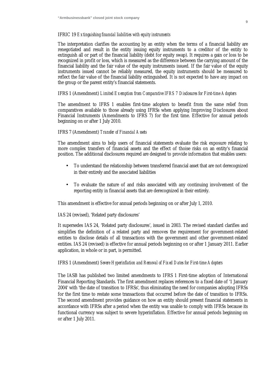# IFRIC 19 *Extinguishing financial liabilities with equity instruments*

The interpretation clarifies the accounting by an entity when the terms of a financial liability are renegotiated and result in the entity issuing equity instruments to a creditor of the entity to extinguish all or part of the financial liability (debt for equity swap). It requires a gain or loss to be recognized in profit or loss, which is measured as the difference between the carrying amount of the financial liability and the fair value of the equity instruments issued. If the fair value of the equity instruments issued cannot be reliably measured, the equity instruments should be measured to reflect the fair value of the financial liability extinguished. It is not expected to have any impact on the group or the parent entity's financial statements.

# IFRS 1 (Amendment) *Limited Exemption from Comparative IFRS 7 Disclosures for First-time Adopters*

The amendment to IFRS 1 enables first-time adopters to benefit from the same relief from comparatives available to those already using IFRSs when applying Improving Disclosures about Financial Instruments (Amendments to IFRS 7) for the first time. Effective for annual periods beginning on or after 1 July 2010.

# IFRS 7 (Amendment) *Transfer of Financial Assets*

The amendment aims to help users of financial statements evaluate the risk exposure relating to more complex transfers of financial assets and the effect of thoise risks on an entity's financial position. The additional disclosures required are designed to provide information that enables users:

- To understand the relationship between transferred financial asset that are not derecognized in their entirely and the associated liabilities
- To evaluate the nature of and risks associated with any continuing involvement of the reporting entity in financial assets that are derecognized in their entirely.

This amendment is effective for annual periods beginning on or after July 1, 2010.

IAS 24 (revised), 'Related party disclosures'

It supersedes IAS 24, 'Related party disclosures', issued in 2003. The revised standard clarifies and simplifies the definition of a related party and removes the requirement for government-related entities to disclose details of all transactions with the government and other government-related entities. IAS 24 (revised) is effective for annual periods beginning on or after 1 January 2011. Earlier application, in whole or in part, is permitted.

# IFRS 1 (Amendment) *Severe Hyperinflation and Removal of Fixed Dates for First-time Adopters*

The IASB has published two limited amendments to IFRS 1 First-time adoption of International Financial Reporting Standards. The first amendment replaces references to a fixed date of '1 January 2004' with 'the date of transition to IFRSs', thus eliminating the need for companies adopting IFRSs for the first time to restate some transactions that occurred before the date of transition to IFRSs. The second amendment provides guidance on how an entity should present financial statements in accordance with IFRSs after a period when the entity was unable to comply with IFRSs because its functional currency was subject to severe hyperinflation. Effective for annual periods beginning on or after 1 July 2011.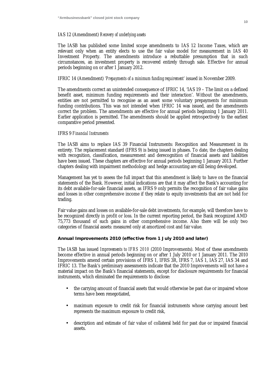# IAS 12 (Amendment) *Recovery of underlying assets*

The IASB has published some limited scope amendments to IAS 12 Income Taxes, which are relevant only when an entity elects to use the fair value model for measurement in IAS 40 Investment Property. The amendments introduce a rebuttable presumption that in such circumstances, an investment property is recovered entirely through sale. Effective for annual periods beginning on or after 1 January 2012.

# IFRIC 14 (Amendment) *'Prepayments of a minimum funding requirement'* issued in November 2009.

The amendments correct an unintended consequence of IFRIC 14, 'IAS 19 – The limit on a defined benefit asset, minimum funding requirements and their interaction'. Without the amendments, entities are not permitted to recognise as an asset some voluntary prepayments for minimum funding contributions. This was not intended when IFRIC 14 was issued, and the amendments correct the problem. The amendments are effective for annual periods beginning 1 January 2011. Earlier application is permitted. The amendments should be applied retrospectively to the earliest comparative period presented.

# IFRS 9 *Financial Instruments*

The IASB aims to replace IAS 39 Financial Instruments: Recognition and Measurement in its entirety. The replacement standard (IFRS 9) is being issued in phases. To date, the chapters dealing with recognition, classification, measurement and derecognition of financial assets and liabilities have been issued. These chapters are effective for annual periods beginning 1 January 2013. Further chapters dealing with impairment methodology and hedge accounting are still being developed.

Management has yet to assess the full impact that this amendment is likely to have on the financial statements of the Bank. However, initial indications are that it may affect the Bank's accounting for its debt available-for-sale financial assets, as IFRS 9 only permits the recognition of fair value gains and losses in other comprehensive income if they relate to equity investments that are not held for trading.

Fair value gains and losses on available-for-sale debt investments, for example, will therefore have to be recognized directly in profit or loss. In the current reporting period, the Bank recognized AMD 75,773 thousand of such gains in other comprehensive income. Also there will be only two categories of financial assets: measured only at amortized cost and fair value.

**Annual Improvements 2010 (effective from 1 July 2010 and later)** 

The IASB has issued *Improvements to IFRS 2010* (2010 Improvements). Most of these amendments become effective in annual periods beginning on or after 1 July 2010 or 1 January 2011. The 2010 Improvements amend certain provisions of IFRS 1, IFRS 3R, IFRS 7, IAS 1, IAS 27, IAS 34 and IFRIC 13. The Bank's preliminary assessments indicate that the 2010 Improvements will not have a material impact on the Bank's financial statements, except for disclosure requirements for financial instruments, which eliminated the requirements to disclose:

- the carrying amount of financial assets that would otherwise be past due or impaired whose terms have been renegotiated,
- maximum exposure to credit risk for financial instruments whose carrying amount best represents the maximum exposure to credit risk,
- description and estimate of fair value of collateral held for past due or impaired financial assets.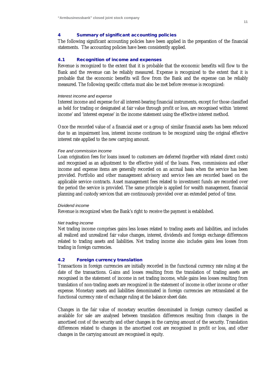# **4 Summary of significant accounting policies**

The following significant accounting policies have been applied in the preparation of the financial statements. The accounting policies have been consistently applied.

# **4.1 Recognition of income and expenses**

Revenue is recognized to the extent that it is probable that the economic benefits will flow to the Bank and the revenue can be reliably measured. Expense is recognized to the extent that it is probable that the economic benefits will flow from the Bank and the expense can be reliably measured. The following specific criteria must also be met before revenue is recognized:

#### *Interest income and expense*

Interest income and expense for all interest-bearing financial instruments, except for those classified as held for trading or designated at fair value through profit or loss, are recognised within 'interest income' and 'interest expense' in the income statement using the effective interest method.

Once the recorded value of a financial asset or a group of similar financial assets has been reduced due to an impairment loss, interest income continues to be recognized using the original effective interest rate applied to the new carrying amount.

#### *Fee and commission income*

Loan origination fees for loans issued to customers are deferred (together with related direct costs) and recognised as an adjustment to the effective yield of the loans. Fees, commissions and other income and expense items are generally recorded on an accrual basis when the service has been provided. Portfolio and other management advisory and service fees are recorded based on the applicable service contracts. Asset management fees related to investment funds are recorded over the period the service is provided. The same principle is applied for wealth management, financial planning and custody services that are continuously provided over an extended period of time.

#### *Dividend income*

Revenue is recognized when the Bank's right to receive the payment is established.

### *Net trading income*

Net trading income comprises gains less losses related to trading assets and liabilities, and includes all realized and unrealized fair value changes, interest, dividends and foreign exchange differences related to trading assets and liabilities. Net trading income also includes gains less losses from trading in foreign currencies.

# **4.2 Foreign currency translation**

Transactions in foreign currencies are initially recorded in the functional currency rate ruling at the date of the transactions. Gains and losses resulting from the translation of trading assets are recognised in the statement of income in net trading income, while gains less losses resulting from translation of non-trading assets are recognized in the statement of income in other income or other expense. Monetary assets and liabilities denominated in foreign currencies are retranslated at the functional currency rate of exchange ruling at the balance sheet date.

Changes in the fair value of monetary securities denominated in foreign currency classified as available for sale are analysed between translation differences resulting from changes in the amortised cost of the security and other changes in the carrying amount of the security. Translation differences related to changes in the amortised cost are recognised in profit or loss, and other changes in the carrying amount are recognised in equity.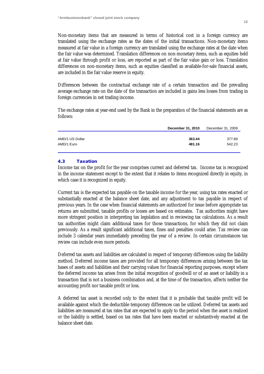Non-monetary items that are measured in terms of historical cost in a foreign currency are translated using the exchange rates as the dates of the initial transactions. Non-monetary items measured at fair value in a foreign currency are translated using the exchange rates at the date when the fair value was determined. Translation differences on non-monetary items, such as equities held at fair value through profit or loss, are reported as part of the fair value gain or loss. Translation differences on non-monetary items, such as equities classified as available-for-sale financial assets, are included in the fair value reserve in equity.

Differences between the contractual exchange rate of a certain transaction and the prevailing average exchange rate on the date of the transaction are included in gains less losses from trading in foreign currencies in net trading income.

The exchange rates at year-end used by the Bank in the preparation of the financial statements are as follows:

|                 | December 31, 2010 | December 31, 2009 |
|-----------------|-------------------|-------------------|
|                 |                   |                   |
| AMD/1 US Dollar | 363.44            | 377.89            |
| AMD/1 Euro      | 481.16            | 542.23            |
|                 |                   |                   |

# **4.3 Taxation**

Income tax on the profit for the year comprises current and deferred tax. Income tax is recognized in the income statement except to the extent that it relates to items recognized directly in equity, in which case it is recognized in equity.

Current tax is the expected tax payable on the taxable income for the year, using tax rates enacted or substantially enacted at the balance sheet date, and any adjustment to tax payable in respect of previous years. In the case when financial statements are authorized for issue before appropriate tax returns are submitted, taxable profits or losses are based on estimates. Tax authorities might have more stringent position in interpreting tax legislation and in reviewing tax calculations. As a result tax authorities might claim additional taxes for those transactions, for which they did not claim previously. As a result significant additional taxes, fines and penalties could arise. Tax review can include 3 calendar years immediately preceding the year of a review. In certain circumstances tax review can include even more periods.

Deferred tax assets and liabilities are calculated in respect of temporary differences using the liability method. Deferred income taxes are provided for all temporary differences arising between the tax bases of assets and liabilities and their carrying values for financial reporting purposes, except where the deferred income tax arises from the initial recognition of goodwill or of an asset or liability in a transaction that is not a business combination and, at the time of the transaction, affects neither the accounting profit nor taxable profit or loss.

A deferred tax asset is recorded only to the extent that it is probable that taxable profit will be available against which the deductible temporary differences can be utilized. Deferred tax assets and liabilities are measured at tax rates that are expected to apply to the period when the asset is realized or the liability is settled, based on tax rates that have been enacted or substantively enacted at the balance sheet date.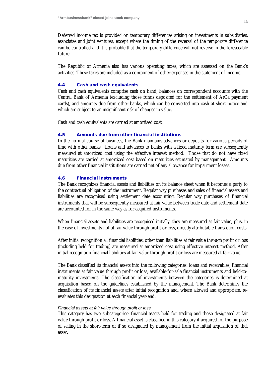Deferred income tax is provided on temporary differences arising on investments in subsidiaries, associates and joint ventures, except where the timing of the reversal of the temporary difference can be controlled and it is probable that the temporary difference will not reverse in the foreseeable future.

The Republic of Armenia also has various operating taxes, which are assessed on the Bank's activities. These taxes are included as a component of other expenses in the statement of income.

# **4.4 Cash and cash equivalents**

Cash and cash equivalents comprise cash on hand, balances on correspondent accounts with the Central Bank of Armenia (excluding those funds deposited for the settlement of ArCa payment cards), and amounts due from other banks, which can be converted into cash at short notice and which are subject to an insignificant risk of changes in value.

Cash and cash equivalents are carried at amortised cost.

# **4.5 Amounts due from other financial institutions**

In the normal course of business, the Bank maintains advances or deposits for various periods of time with other banks. Loans and advances to banks with a fixed maturity term are subsequently measured at amortized cost using the effective interest method. Those that do not have fixed maturities are carried at amortized cost based on maturities estimated by management. Amounts due from other financial institutions are carried net of any allowance for impairment losses.

# **4.6 Financial instruments**

The Bank recognizes financial assets and liabilities on its balance sheet when it becomes a party to the contractual obligation of the instrument. Regular way purchases and sales of financial assets and liabilities are recognised using settlement date accounting. Regular way purchases of financial instruments that will be subsequently measured at fair value between trade date and settlement date are accounted for in the same way as for acquired instruments.

When financial assets and liabilities are recognised initially, they are measured at fair value, plus, in the case of investments not at fair value through profit or loss, directly attributable transaction costs.

After initial recognition all financial liabilities, other than liabilities at fair value through profit or loss (including held for trading) are measured at amortized cost using effective interest method. After initial recognition financial liabilities at fair value through profit or loss are measured at fair value.

The Bank classified its financial assets into the following categories: loans and receivables, financial instruments at fair value through profit or loss, available-for-sale financial instruments and held-tomaturity investments. The classification of investments between the categories is determined at acquisition based on the guidelines established by the management. The Bank determines the classification of its financial assets after initial recognition and, where allowed and appropriate, reevaluates this designation at each financial year-end.

### *Financial assets at fair value through profit or loss*

This category has two subcategories: financial assets held for trading and those designated at fair value through profit or loss. A financial asset is classified in this category if acquired for the purpose of selling in the short-term or if so designated by management from the initial acquisition of that asset.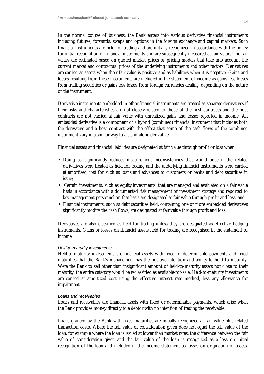In the normal course of business, the Bank enters into various derivative financial instruments including futures, forwards, swaps and options in the foreign exchange and capital markets. Such financial instruments are held for trading and are initially recognized in accordance with the policy for initial recognition of financial instruments and are subsequently measured at fair value. The fair values are estimated based on quoted market prices or pricing models that take into account the current market and contractual prices of the underlying instruments and other factors. Derivatives are carried as assets when their fair value is positive and as liabilities when it is negative. Gains and losses resulting from these instruments are included in the statement of income as gains less losses from trading securities or gains less losses from foreign currencies dealing, depending on the nature of the instrument.

Derivative instruments embedded in other financial instruments are treated as separate derivatives if their risks and characteristics are not closely related to those of the host contracts and the host contracts are not carried at fair value with unrealized gains and losses reported in income. An embedded derivative is a component of a hybrid (combined) financial instrument that includes both the derivative and a host contract with the effect that some of the cash flows of the combined instrument vary in a similar way to a stand-alone derivative.

Financial assets and financial liabilities are designated at fair value through profit or loss when:

- Doing so significantly reduces measurement inconsistencies that would arise if the related derivatives were treated as held for trading and the underlying financial instruments were carried at amortised cost for such as loans and advances to customers or banks and debt securities in issue;
- Certain investments, such as equity investments, that are managed and evaluated on a fair value basis in accordance with a documented risk management or investment strategy and reported to key management personnel on that basis are designated at fair value through profit and loss; and
- Financial instruments, such as debt securities held, containing one or more embedded derivatives significantly modify the cash flows, are designated at fair value through profit and loss.

Derivatives are also classified as held for trading unless they are designated as effective hedging instruments. Gains or losses on financial assets held for trading are recognised in the statement of income.

#### *Held-to-maturity investments*

Held-to-maturity investments are financial assets with fixed or determinable payments and fixed maturities that the Bank's management has the positive intention and ability to hold to maturity. Were the Bank to sell other than insignificant amount of held-to-maturity assets not close to their maturity, the entire category would be reclassified as available-for-sale. Held-to-maturity investments are carried at amortized cost using the effective interest rate method, less any allowance for impairment.

#### *Loans and receivables*

Loans and receivables are financial assets with fixed or determinable payments, which arise when the Bank provides money directly to a debtor with no intention of trading the receivable.

Loans granted by the Bank with fixed maturities are initially recognized at fair value plus related transaction costs. Where the fair value of consideration given does not equal the fair value of the loan, for example where the loan is issued at lower than market rates, the difference between the fair value of consideration given and the fair value of the loan is recognized as a loss on initial recognition of the loan and included in the income statement as losses on origination of assets.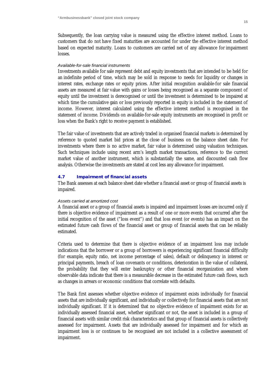Subsequently, the loan carrying value is measured using the effective interest method. Loans to customers that do not have fixed maturities are accounted for under the effective interest method based on expected maturity. Loans to customers are carried net of any allowance for impairment losses.

# *Available-for-sale financial instruments*

Investments available for sale represent debt and equity investments that are intended to be held for an indefinite period of time, which may be sold in response to needs for liquidity or changes in interest rates, exchange rates or equity prices. After initial recognition available-for sale financial assets are measured at fair value with gains or losses being recognised as a separate component of equity until the investment is derecognised or until the investment is determined to be impaired at which time the cumulative gain or loss previously reported in equity is included in the statement of income. However, interest calculated using the effective interest method is recognised in the statement of income. Dividends on available-for-sale equity instruments are recognised in profit or loss when the Bank's right to receive payment is established.

The fair value of investments that are actively traded in organised financial markets is determined by reference to quoted market bid prices at the close of business on the balance sheet date. For investments where there is no active market, fair value is determined using valuation techniques. Such techniques include using recent arm's length market transactions, reference to the current market value of another instrument, which is substantially the same, and discounted cash flow analysis. Otherwise the investments are stated at cost less any allowance for impairment.

# **4.7 Impairment of financial assets**

The Bank assesses at each balance sheet date whether a financial asset or group of financial assets is impaired.

#### *Assets carried at amortized cost*

A financial asset or a group of financial assets is impaired and impairment losses are incurred only if there is objective evidence of impairment as a result of one or more events that occurred after the initial recognition of the asset ("loss event") and that loss event (or events) has an impact on the estimated future cash flows of the financial asset or group of financial assets that can be reliably estimated.

Criteria used to determine that there is objective evidence of an impairment loss may include indications that the borrower or a group of borrowers is experiencing significant financial difficulty (for example, equity ratio, net income percentage of sales), default or delinquency in interest or principal payments, breach of loan covenants or conditions, deterioration in the value of collateral, the probability that they will enter bankruptcy or other financial reorganization and where observable data indicate that there is a measurable decrease in the estimated future cash flows, such as changes in arrears or economic conditions that correlate with defaults.

The Bank first assesses whether objective evidence of impairment exists individually for financial assets that are individually significant, and individually or collectively for financial assets that are not individually significant. If it is determined that no objective evidence of impairment exists for an individually assessed financial asset, whether significant or not, the asset is included in a group of financial assets with similar credit risk characteristics and that group of financial assets is collectively assessed for impairment. Assets that are individually assessed for impairment and for which an impairment loss is or continues to be recognised are not included in a collective assessment of impairment.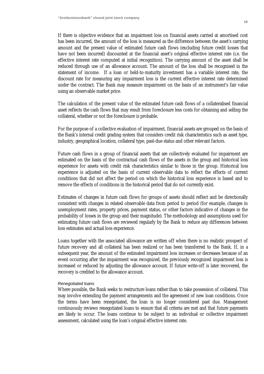If there is objective evidence that an impairment loss on financial assets carried at amortised cost has been incurred, the amount of the loss is measured as the difference between the asset's carrying amount and the present value of estimated future cash flows (excluding future credit losses that have not been incurred) discounted at the financial asset's original effective interest rate (i.e. the effective interest rate computed at initial recognition). The carrying amount of the asset shall be reduced through use of an allowance account. The amount of the loss shall be recognised in the statement of income. If a loan or held-to-maturity investment has a variable interest rate, the discount rate for measuring any impairment loss is the current effective interest rate determined under the contract. The Bank may measure impairment on the basis of an instrument's fair value using an observable market price.

The calculation of the present value of the estimated future cash flows of a collateralised financial asset reflects the cash flows that may result from foreclosure less costs for obtaining and selling the collateral, whether or not the foreclosure is probable.

For the purpose of a collective evaluation of impairment, financial assets are grouped on the basis of the Bank's internal credit grading system that considers credit risk characteristics such as asset type, industry, geographical location, collateral type, past-due status and other relevant factors.

Future cash flows in a group of financial assets that are collectively evaluated for impairment are estimated on the basis of the contractual cash flows of the assets in the group and historical loss experience for assets with credit risk characteristics similar to those in the group. Historical loss experience is adjusted on the basis of current observable data to reflect the effects of current conditions that did not affect the period on which the historical loss experience is based and to remove the effects of conditions in the historical period that do not currently exist.

Estimates of changes in future cash flows for groups of assets should reflect and be directionally consistent with changes in related observable data from period to period (for example, changes in unemployment rates, property prices, payment status, or other factors indicative of changes in the probability of losses in the group and their magnitude). The methodology and assumptions used for estimating future cash flows are reviewed regularly by the Bank to reduce any differences between loss estimates and actual loss experience.

Loans together with the associated allowance are written off when there is no realistic prospect of future recovery and all collateral has been realized or has been transferred to the Bank. If, in a subsequent year, the amount of the estimated impairment loss increases or decreases because of an event occurring after the impairment was recognized, the previously recognized impairment loss is increased or reduced by adjusting the allowance account. If future write-off is later recovered, the recovery is credited to the allowance account.

#### *Renegotiated loans*

Where possible, the Bank seeks to restructure loans rather than to take possession of collateral. This may involve extending the payment arrangements and the agreement of new loan conditions. Once the terms have been renegotiated, the loan is no longer considered past due. Management continuously reviews renegotiated loans to ensure that all criteria are met and that future payments are likely to occur. The loans continue to be subject to an individual or collective impairment assessment, calculated using the loan's original effective interest rate.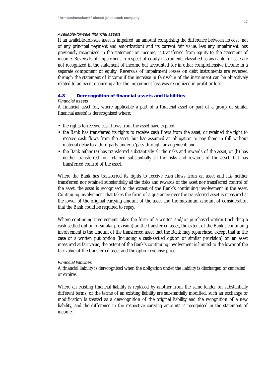#### *Available-for-sale financial assets*

If an available-for-sale asset is impaired, an amount comprising the difference between its cost (net of any principal payment and amortization) and its current fair value, less any impairment loss previously recognized in the statement on income, is transferred from equity to the statement of income. Reversals of impairment in respect of equity instruments classified as available-for-sale are not recognized in the statement of income but accounted for in other comprehensive income in a separate component of equity. Reversals of impairment losses on debt instruments are reversed through the statement of income if the increase in fair value of the instrument can be objectively related to an event occurring after the impairment loss was recognized in profit or loss.

# **4.8 Derecognition of financial assets and liabilities**

# *Financial assets*

A financial asset (or, where applicable a part of a financial asset or part of a group of similar financial assets) is derecognised where:

- the rights to receive cash flows from the asset have expired;
- the Bank has transferred its rights to receive cash flows from the asset, or retained the right to receive cash flows from the asset, but has assumed an obligation to pay them in full without material delay to a third party under a 'pass-through' arrangement; and
- the Bank either (a) has transferred substantially all the risks and rewards of the asset, or (b) has neither transferred nor retained substantially all the risks and rewards of the asset, but has transferred control of the asset.

Where the Bank has transferred its rights to receive cash flows from an asset and has neither transferred nor retained substantially all the risks and rewards of the asset nor transferred control of the asset, the asset is recognised to the extent of the Bank's continuing involvement in the asset. Continuing involvement that takes the form of a guarantee over the transferred asset is measured at the lower of the original carrying amount of the asset and the maximum amount of consideration that the Bank could be required to repay.

Where continuing involvement takes the form of a written and/or purchased option (including a cash-settled option or similar provision) on the transferred asset, the extent of the Bank's continuing involvement is the amount of the transferred asset that the Bank may repurchase, except that in the case of a written put option (including a cash-settled option or similar provision) on an asset measured at fair value, the extent of the Bank's continuing involvement is limited to the lower of the fair value of the transferred asset and the option exercise price.

# *Financial liabilities*

A financial liability is derecognised when the obligation under the liability is discharged or cancelled or expires.

Where an existing financial liability is replaced by another from the same lender on substantially different terms, or the terms of an existing liability are substantially modified, such an exchange or modification is treated as a derecognition of the original liability and the recognition of a new liability, and the difference in the respective carrying amounts is recognised in the statement of income.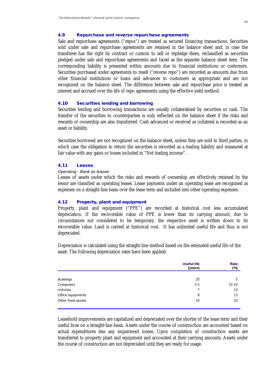# **4.9 Repurchase and reverse repurchase agreements**

Sale and repurchase agreements ("repos") are treated as secured financing transactions. Securities sold under sale and repurchase agreements are retained in the balance sheet and, in case the transferee has the right by contract or custom to sell or repledge them, reclassified as securities pledged under sale and repurchase agreements and faced as the separate balance sheet item. The corresponding liability is presented within amounts due to financial institutions or customers. Securities purchased under agreements to resell ("reverse repo") are recorded as amounts due from other financial institutions or loans and advances to customers as appropriate and are not recognized on the balance sheet. The difference between sale and repurchase price is treated as interest and accrued over the life of repo agreements using the effective yield method.

#### **4.10 Securities lending and borrowing**

Securities lending and borrowing transactions are usually collateralised by securities or cash. The transfer of the securities to counterparties is only reflected on the balance sheet if the risks and rewards of ownership are also transferred. Cash advanced or received as collateral is recorded as an asset or liability.

Securities borrowed are not recognized on the balance sheet, unless they are sold to third parties, in which case the obligation to return the securities is recorded as a trading liability and measured at fair value with any gains or losses included in "Net trading income".

#### **4.11 Leases**

#### *Operating - Bank as leasee*

Leases of assets under which the risks and rewards of ownership are effectively retained by the lessor are classified as operating leases. Lease payments under an operating lease are recognised as expenses on a straight-line basis over the lease term and included into other operating expenses.

# **4.12 Property, plant and equipment**

Property, plant and equipment ("PPE") are recorded at historical cost less accumulated depreciation. If the recoverable value of PPE is lower than its carrying amount, due to circumstances not considered to be temporary, the respective asset is written down to its recoverable value. Land is carried at historical cost. It has unlimited useful life and thus is not depreciated.

Depreciation is calculated using the straight-line method based on the estimated useful life of the asset. The following depreciation rates have been applied:

|                    | <b>Useful life</b><br>(years) | Rate<br>(%) |
|--------------------|-------------------------------|-------------|
|                    |                               |             |
| <b>Buildings</b>   | 20                            | 5           |
| Computers          | $3 - 5$                       | $33 - 20$   |
| Vehicles           | 7                             | 14          |
| Office equipments  | 8                             | 13          |
| Other fixed assets | 10                            | 10          |

Leasehold improvements are capitalized and depreciated over the shorter of the lease term and their useful lives on a straight-line basis. Assets under the course of construction are accounted based on actual expenditures less any impairment losses. Upon completion of construction assets are transferred to property plant and equipment and accounted at their carrying amounts. Assets under the course of construction are not depreciated until they are ready for usage.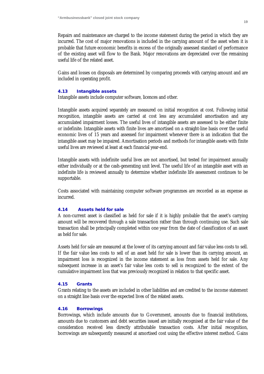Repairs and maintenance are charged to the income statement during the period in which they are incurred. The cost of major renovations is included in the carrying amount of the asset when it is probable that future economic benefits in excess of the originally assessed standard of performance of the existing asset will flow to the Bank. Major renovations are depreciated over the remaining useful life of the related asset.

Gains and losses on disposals are determined by comparing proceeds with carrying amount and are included in operating profit.

# **4.13 Intangible assets**

Intangible assets include computer software, licences and other.

Intangible assets acquired separately are measured on initial recognition at cost. Following initial recognition, intangible assets are carried at cost less any accumulated amortisation and any accumulated impairment losses. The useful lives of intangible assets are assessed to be either finite or indefinite. Intangible assets with finite lives are amortised on a straight-line basis over the useful economic lives of 15 years and assessed for impairment whenever there is an indication that the intangible asset may be impaired. Amortisation periods and methods for intangible assets with finite useful lives are reviewed at least at each financial year-end.

Intangible assets with indefinite useful lives are not amortised, but tested for impairment annually either individually or at the cash-generating unit level. The useful life of an intangible asset with an indefinite life is reviewed annually to determine whether indefinite life assessment continues to be supportable.

Costs associated with maintaining computer software programmes are recorded as an expense as incurred.

# **4.14 Assets held for sale**

A non-current asset is classified as held for sale if it is highly probable that the asset's carrying amount will be recovered through a sale transaction rather than through continuing use. Such sale transaction shall be principally completed within one year from the date of classification of an asset as held for sale.

Assets held for sale are measured at the lower of its carrying amount and fair value less costs to sell. If the fair value less costs to sell of an asset held for sale is lower than its carrying amount, an impairment loss is recognized in the income statement as loss from assets held for sale. Any subsequent increase in an asset's fair value less costs to sell is recognized to the extent of the cumulative impairment loss that was previously recognized in relation to that specific asset.

### **4.15 Grants**

Grants relating to the assets are included in other liabilities and are credited to the income statement on a straight line basis over the expected lives of the related assets.

## **4.16 Borrowings**

Borrowings, which include amounts due to Government, amounts due to financial institutions, amounts due to customers and debt securities issued are initially recognised at the fair value of the consideration received less directly attributable transaction costs. After initial recognition, borrowings are subsequently measured at amortised cost using the effective interest method. Gains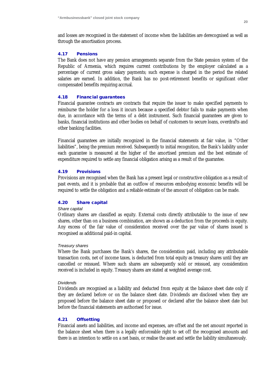and losses are recognised in the statement of income when the liabilities are derecognised as well as through the amortisation process.

## **4.17 Pensions**

The Bank does not have any pension arrangements separate from the State pension system of the Republic of Armenia, which requires current contributions by the employer calculated as a percentage of current gross salary payments; such expense is charged in the period the related salaries are earned. In addition, the Bank has no post-retirement benefits or significant other compensated benefits requiring accrual.

# **4.18 Financial guarantees**

Financial guarantee contracts are contracts that require the issuer to make specified payments to reimburse the holder for a loss it incurs because a specified debtor fails to make payments when due, in accordance with the terms of a debt instrument. Such financial guarantees are given to banks, financial institutions and other bodies on behalf of customers to secure loans, overdrafts and other banking facilities.

Financial guarantees are initially recognized in the financial statements at fair value, in "Other liabilities", being the premium received. Subsequently to initial recognition, the Bank's liability under each guarantee is measured at the higher of the amortised premium and the best estimate of expenditure required to settle any financial obligation arising as a result of the guarantee.

# **4.19 Provisions**

Provisions are recognised when the Bank has a present legal or constructive obligation as a result of past events, and it is probable that an outflow of resources embodying economic benefits will be required to settle the obligation and a reliable estimate of the amount of obligation can be made.

### **4.20 Share capital**

### *Share capital*

Ordinary shares are classified as equity. External costs directly attributable to the issue of new shares, other than on a business combination, are shown as a deduction from the proceeds in equity. Any excess of the fair value of consideration received over the par value of shares issued is recognised as additional paid-in capital.

### *Treasury shares*

Where the Bank purchases the Bank's shares, the consideration paid, including any attributable transaction costs, net of income taxes, is deducted from total equity as treasury shares until they are cancelled or reissued. Where such shares are subsequently sold or reissued, any consideration received is included in equity. Treasury shares are stated at weighted average cost.

#### *Dividends*

Dividends are recognised as a liability and deducted from equity at the balance sheet date only if they are declared before or on the balance sheet date. Dividends are disclosed when they are proposed before the balance sheet date or proposed or declared after the balance sheet date but before the financial statements are authorised for issue.

# **4.21 Offsetting**

Financial assets and liabilities, and income and expenses, are offset and the net amount reported in the balance sheet when there is a legally enforceable right to set off the recognised amounts and there is an intention to settle on a net basis, or realise the asset and settle the liability simultaneously.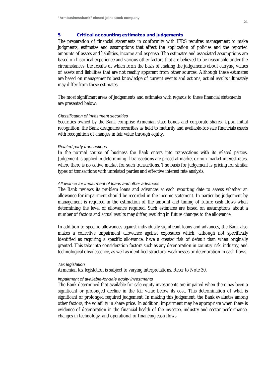# **5 Critical accounting estimates and judgements**

The preparation of financial statements in conformity with IFRS requires management to make judgments, estimates and assumptions that affect the application of policies and the reported amounts of assets and liabilities, income and expense. The estimates and associated assumptions are based on historical experience and various other factors that are believed to be reasonable under the circumstances, the results of which form the basis of making the judgements about carrying values of assets and liabilities that are not readily apparent from other sources. Although these estimates are based on management's best knowledge of current events and actions, actual results ultimately may differ from these estimates.

The most significant areas of judgements and estimates with regards to these financial statements are presented below:

#### *Classification of investment securities*

Securities owned by the Bank comprise Armenian state bonds and corporate shares. Upon initial recognition, the Bank designates securities as held to maturity and available-for-sale financials assets with recognition of changes in fair value through equity.

#### *Related party transactions*

In the normal course of business the Bank enters into transactions with its related parties. Judgement is applied in determining if transactions are priced at market or non-market interest rates, where there is no active market for such transactions. The basis for judgement is pricing for similar types of transactions with unrelated parties and effective interest rate analysis.

#### *Allowance for impairment of loans and other advances*

The Bank reviews its problem loans and advances at each reporting date to assess whether an allowance for impairment should be recorded in the income statement. In particular, judgement by management is required in the estimation of the amount and timing of future cash flows when determining the level of allowance required. Such estimates are based on assumptions about a number of factors and actual results may differ, resulting in future changes to the allowance.

In addition to specific allowances against individually significant loans and advances, the Bank also makes a collective impairment allowance against exposures which, although not specifically identified as requiring a specific allowance, have a greater risk of default than when originally granted. This take into consideration factors such as any deterioration in country risk, industry, and technological obsolescence, as well as identified structural weaknesses or deterioration in cash flows.

#### *Tax legislation*

Armenian tax legislation is subject to varying interpretations. Refer to Note 30.

#### *Impairment of available-for-sale equity investments*

The Bank determined that available-for-sale equity investments are impaired when there has been a significant or prolonged decline in the fair value below its cost. This determination of what is significant or prolonged required judgement. In making this judgement, the Bank evaluates among other factors, the volatility in share price. In addition, impairment may be appropriate when there is evidence of deterioration in the financial health of the investee, industry and sector performance, changes in technology, and operational or financing cash flows.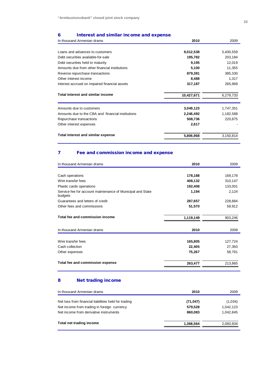# **6 Interest and similar income and expense**

| 2010       | 2009      |
|------------|-----------|
|            |           |
| 9,012,538  | 5,400,559 |
| 195,782    | 203,184   |
| 9,195      | 12,019    |
| 5,100      | 11,355    |
| 879,381    | 385,330   |
| 8,488      | 1,317     |
| 317,187    | 265,969   |
| 10,427,671 | 6,279,733 |
| 3,049,123  | 1,747,351 |
| 2,246,492  | 1,182,588 |
| 508,736    | 220,875   |
| 2,617      |           |
|            |           |
|            |           |

# **7 Fee and commission income and expense**

| In thousand Armenian drams                                            | 2010      | 2009    |
|-----------------------------------------------------------------------|-----------|---------|
|                                                                       |           |         |
| Cash operations                                                       | 178,188   | 169,178 |
| Wire transfer fees                                                    | 408,132   | 310,147 |
| Plastic cards operations                                              | 192,408   | 133,001 |
| Service fee for account maintenance of Municipal and State<br>budgets | 1,194     | 2,124   |
| Guarantees and letters of credit                                      | 287,657   | 228,884 |
| Other fees and commissions                                            | 51,570    | 59,912  |
|                                                                       |           |         |
| Total fee and commission income                                       | 1,119,149 | 903,246 |
|                                                                       |           |         |
| In thousand Armenian drams                                            | 2010      | 2009    |
| Wire transfer fees                                                    | 165,805   | 127,724 |
| Cash collection                                                       | 22,405    | 27,350  |
| Other expenses                                                        | 75,267    | 58,791  |
|                                                                       |           |         |
| Total fee and commission expense                                      | 263,477   | 213,865 |
|                                                                       |           |         |

# **8 Net trading income**

| In thousand Armenian drams                                                                                                                    | 2010                            | 2009                              |
|-----------------------------------------------------------------------------------------------------------------------------------------------|---------------------------------|-----------------------------------|
| Net loss from financial liabilities held for trading<br>Net income from trading in foreign currency<br>Net income from derivative instruments | (71, 047)<br>579,528<br>860.083 | (1,034)<br>1,042,123<br>1.042.845 |
| Total net trading income                                                                                                                      | 1,368,564                       | 2,083,934                         |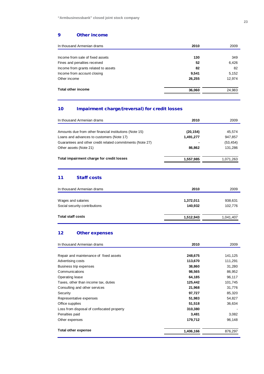# **9 Other income**

| In thousand Armenian drams           | 2010   | 2009   |
|--------------------------------------|--------|--------|
|                                      |        |        |
| Income from sale of fixed assets     | 130    | 349    |
| Fines and penalties received         | 52     | 6,426  |
| Income from grants related to assets | 82     | 82     |
| Income from account closing          | 9.541  | 5,152  |
| Other income                         | 26,255 | 12,974 |
| <b>Total other income</b>            | 36,060 | 24,983 |

# **10 Impairment charge/(reversal) for credit losses**

| In thousand Armenian drams                                | 2010      | 2009      |
|-----------------------------------------------------------|-----------|-----------|
| Amounts due from other financial institutions (Note 15)   | (20, 154) | 45,574    |
| Loans and advances to customers (Note 17)                 | 1,491,277 | 947,857   |
| Guarantees and other credit related commitments (Note 27) |           | (53, 454) |
| Other assets (Note 21)                                    | 86.862    | 131,286   |
| Total impairment charge for credit losses                 | 1,557,985 | 1,071,263 |

# **11 Staff costs**

| In thousand Armenian drams    | 2010      | 2009      |
|-------------------------------|-----------|-----------|
|                               |           |           |
| Wages and salaries            | 1,372,011 | 938,631   |
| Social security contributions | 140,932   | 102,776   |
| <b>Total staff costs</b>      | 1,512,943 | 1,041,407 |
|                               |           |           |

# **12 Other expenses**

| In thousand Armenian drams                 | 2010      | 2009    |
|--------------------------------------------|-----------|---------|
|                                            |           |         |
| Repair and maintenance of fixed assets     | 248,675   | 141,125 |
| Advertising costs                          | 113,670   | 111,291 |
| Business trip expenses                     | 38,860    | 31,280  |
| Communications                             | 98,565    | 86,952  |
| Operating lease                            | 64,185    | 96,117  |
| Taxes, other than income tax, duties       | 125,442   | 101,745 |
| Consulting and other services              | 21,968    | 31,776  |
| Security                                   | 97,727    | 85,320  |
| Representative expenses                    | 51,983    | 54,827  |
| Office supplies                            | 51,518    | 36,634  |
| Loss from disposal of confiscated property | 310,380   |         |
| Penalties paid                             | 3,481     | 3,082   |
| Other expenses                             | 179,712   | 96,148  |
| <b>Total other expense</b>                 | 1,406,166 | 876,297 |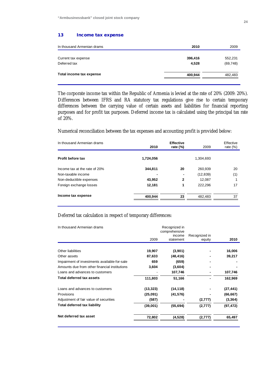#### **13 Income tax expense**

| In thousand Armenian drams | 2010    | 2009      |
|----------------------------|---------|-----------|
|                            |         |           |
| Current tax expense        | 396,416 | 552,231   |
| Deferred tax               | 4.528   | (69, 748) |
| Total income tax expense   | 400,944 | 482,483   |
|                            |         |           |

The corporate income tax within the Republic of Armenia is levied at the rate of 20% (2009: 20%). Differences between IFRS and RA statutory tax regulations give rise to certain temporary differences between the carrying value of certain assets and liabilities for financial reporting purposes and for profit tax purposes. Deferred income tax is calculated using the principal tax rate of 20%.

Numerical reconciliation between the tax expenses and accounting profit is provided below:

| In thousand Armenian drams    | 2010      | <b>Effective</b><br>rate $(\%)$ | 2009      | Effective<br>rate $(\%)$ |
|-------------------------------|-----------|---------------------------------|-----------|--------------------------|
| Profit before tax             | 1,724,056 |                                 | 1,304,693 |                          |
| Income tax at the rate of 20% | 344,811   | 20                              | 260,939   | 20                       |
| Non-taxable income            |           |                                 | (12, 839) | (1)                      |
| Non-deductible expenses       | 43,952    | $\mathbf{2}$                    | 12,087    |                          |
| Foreign exchange losses       | 12,181    | 1                               | 222,296   | 17                       |
| Income tax expense            | 400,944   | 23                              | 482.483   | 37                       |

# Deferred tax calculation in respect of temporary differences:

| In thousand Armenian drams                    | Recognized in |                     |                         |           |
|-----------------------------------------------|---------------|---------------------|-------------------------|-----------|
|                                               |               | comprehensive       |                         |           |
|                                               | 2009          | income<br>statement | Recognized in<br>equity | 2010      |
|                                               |               |                     |                         |           |
| Other liabilities                             | 19,907        | (3,901)             |                         | 16,006    |
| Other assets                                  | 87,633        | (48, 416)           |                         | 39,217    |
| Impairment of investments available-for-sale  | 659           | (659)               |                         |           |
| Amounts due from other financial institutions | 3,604         | (3,604)             |                         |           |
| Loans and advances to customers               |               | 107,746             |                         | 107,746   |
| <b>Total deferred tax assets</b>              | 111,803       | 51,166              |                         | 162,969   |
| Loans and advances to customers               | (13, 323)     | (14, 118)           |                         | (27, 441) |
| Provisions                                    | (25,091)      | (41, 576)           |                         | (66, 667) |
| Adjustment of fair value of securities        | (587)         |                     | (2,777)                 | (3, 364)  |
| <b>Total deferred tax liability</b>           | (39,001)      | (55, 694)           | (2,777)                 | (97, 472) |
| Net deferred tax asset                        | 72,802        | (4,528)             | (2,777)                 | 65,497    |
|                                               |               |                     |                         |           |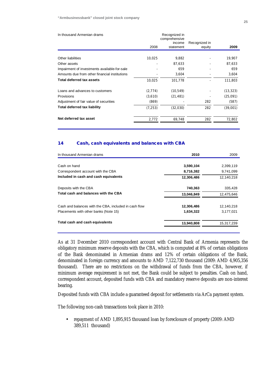| In thousand Armenian drams                    |          | Recognized in<br>comprehensive |                         |           |
|-----------------------------------------------|----------|--------------------------------|-------------------------|-----------|
|                                               | 2008     | income<br>statement            | Recognized in<br>equity | 2009      |
|                                               |          |                                |                         |           |
| Other liabilities                             | 10,025   | 9,882                          |                         | 19,907    |
| Other assets                                  |          | 87,633                         |                         | 87,633    |
| Impairment of investments available-for-sale  |          | 659                            |                         | 659       |
| Amounts due from other financial institutions |          | 3,604                          |                         | 3,604     |
| Total deferred tax assets                     | 10,025   | 101,778                        |                         | 111,803   |
| Loans and advances to customers               | (2,774)  | (10, 549)                      |                         | (13, 323) |
| Provisions                                    | (3,610)  | (21, 481)                      |                         | (25,091)  |
| Adjustment of fair value of securities        | (869)    |                                | 282                     | (587)     |
| <b>Total deferred tax liability</b>           | (7, 253) | (32,030)                       | 282                     | (39,001)  |
| Net deferred tax asset                        | 2.772    | 69.748                         | 282                     | 72,802    |

# **14 Cash, cash equivalents and balances with CBA**

| 2010       | 2009       |
|------------|------------|
|            |            |
| 3,590,104  | 2,399,119  |
| 8,716,382  | 9,741,099  |
| 12,306,486 | 12,140,218 |
| 740,363    | 335,428    |
| 13,046,849 | 12,475,646 |
| 12,306,486 | 12.140.218 |
| 1,634,322  | 3,177,021  |
| 13,940,808 | 15,317,239 |
|            |            |

As at 31 December 2010 correspondent account with Central Bank of Armenia represents the obligatory minimum reserve deposits with the CBA, which is computed at 8% of certain obligations of the Bank denominated in Armenian drams and 12% of certain obligations of the Bank, denominated in foreign currency and amounts to AMD 7,122,730 thousand (2009: AMD 4,905,356 thousand). There are no restrictions on the withdrawal of funds from the CBA, however, if minimum average requirement is not met, the Bank could be subject to penalties. Cash on hand, correspondent account, deposited funds with CBA and mandatory reserve deposits are non-interest bearing.

Deposited funds with CBA include a guaranteed deposit for settlements via ArCa payment system.

The following non-cash transactions took place in 2010:

• repayment of AMD 1,895,915 thousand loan by foreclosure of property (2009: AMD 389,511 thousand)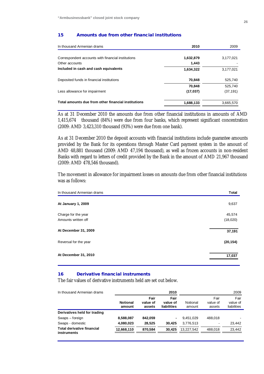#### **15 Amounts due from other financial institutions**

| In thousand Armenian drams                          | 2010      | 2009      |
|-----------------------------------------------------|-----------|-----------|
| Correspondent accounts with financial institutions  | 1,632,879 | 3,177,021 |
| Other accounts                                      | 1,443     |           |
| Included in cash and cash equivalents               | 1,634,322 | 3,177,021 |
| Deposited funds in financial institutions           | 70,848    | 525,740   |
|                                                     | 70,848    | 525,740   |
| Less allowance for impairment                       | (17, 037) | (37, 191) |
| Total amounts due from other financial institutions | 1,688,133 | 3,665,570 |

As at 31 December 2010 the amounts due from other financial institutions in amounts of AMD 1,415,674 thousand (84%) were due from four banks, which represent significant concentration (2009: AMD 3,423,310 thousand (93%) were due from one bank).

As at 31 December 2010 the deposit accounts with financial institutions include guarantee amounts provided by the Bank for its operations through Master Card payment system in the amount of AMD 48,881 thousand (2009: AMD 47,194 thousand), as well as frozen accounts in non-resident Banks with regard to letters of credit provided by the Bank in the amount of AMD 21,967 thousand (2009: AMD 478,546 thousand).

The movement in allowance for impairment losses on amounts due from other financial institutions was as follows:

| In thousand Armenian drams | <b>Total</b> |
|----------------------------|--------------|
| At January 1, 2009         | 9,637        |
| Charge for the year        | 45,574       |
| Amounts written off        | (18,020)     |
| At December 31, 2009       | 37,191       |
| Reversal for the year      | (20, 154)    |
| At December 31, 2010       | 17,037       |
|                            |              |

# **16 Derivative financial instruments**

The fair values of derivative instruments held are set out below.

| In thousand Armenian drams                       |                           |                            | 2010                            |                    |                            | 2009                            |
|--------------------------------------------------|---------------------------|----------------------------|---------------------------------|--------------------|----------------------------|---------------------------------|
|                                                  | <b>Notional</b><br>amount | Fair<br>value of<br>assets | Fair<br>value of<br>liabilities | Notional<br>amount | Fair<br>value of<br>assets | Fair<br>value of<br>liabilities |
| Derivatives held for trading                     |                           |                            |                                 |                    |                            |                                 |
| Swaps - foreign                                  | 8,588,087                 | 842.059                    |                                 | 9.451.029          | 488.018                    |                                 |
| Swaps - domestic                                 | 4,080,023                 | 28.525                     | 30.425                          | 3.776.513          |                            | 23.442                          |
| <b>Total derivative financial</b><br>instruments | 12,668,110                | 870,584                    | 30.425                          | 13.227.542         | 488.018                    | 23,442                          |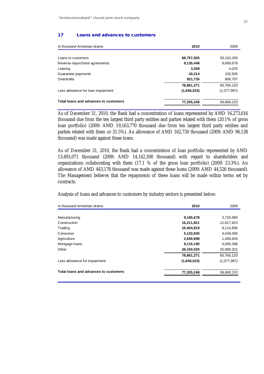#### **17 Loans and advances to customers**

| In thousand Armenian drams            | 2010        | 2009        |
|---------------------------------------|-------------|-------------|
|                                       |             |             |
| Loans to customers                    | 68,757,505  | 50,163,205  |
| Reverse repurchase agreements         | 9,135,448   | 9,689,678   |
| Leasing                               | 3,369       | 4,025       |
| Guarantee payments                    | 43,214      | 102,505     |
| Overdrafts                            | 921,735     | 806,707     |
|                                       | 78,861,271  | 60,766,120  |
| Less allowance for loan impairment    | (1,656,023) | (1,077,987) |
| Total loans and advances to customers | 77,205,248  | 59,688,133  |

As of December 31, 2010, the Bank had a concentration of loans represented by AMD 16,273,016 thousand due from the ten largest third party entities and parties related with them (20.1% of gross loan portfolio) (2009: AMD 19,163,770 thousand due from ten largest third party entities and parties related with them or 31.5%). An allowance of AMD 162,730 thousand (2009: AMD 96,138 thousand) was made against these loans.

As of December 31, 2010, the Bank had a concentration of loan portfolio represented by AMD 13,493,071 thousand (2009: AMD 14,142,308 thousand) with regard to shareholders and organizations collaborating with them (17.1 % of the gross loan portfolio) (2009: 23.3%). An allowance of AMD 443,178 thousand was made against these loans (2009: AMD 44,526 thousand). The Management believes that the repayments of these loans will be made within terms set by contracts.

Analysis of loans and advances to customers by industry sectors is presented below:

| In thousand Armenian drams            | 2010        | 2009        |
|---------------------------------------|-------------|-------------|
|                                       |             |             |
| Manufacturing                         | 9,165,678   | 3,725,960   |
| Construction                          | 16,211,821  | 12,627,823  |
| Trading                               | 10,404,819  | 8,114,895   |
| Consumer                              | 5,153,830   | 4,649,000   |
| Agriculture                           | 2,659,898   | 1,469,843   |
| Mortgage loans                        | 9,115,195   | 5,090,398   |
| Other                                 | 26,150,030  | 25,088,201  |
|                                       | 78,861,271  | 60,766,120  |
| Less allowance for impairment         | (1,656,023) | (1,077,987) |
| Total loans and advances to customers | 77,205,248  | 59,688,133  |
|                                       |             |             |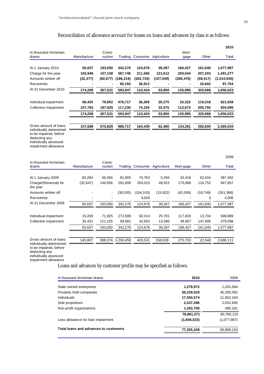# Reconciliation of allowance account for losses on loans and advances by class is as follows:

|                                                                                                                                              |             |                   |            |                              |                              |               |           | 2010        |
|----------------------------------------------------------------------------------------------------------------------------------------------|-------------|-------------------|------------|------------------------------|------------------------------|---------------|-----------|-------------|
| In thousand Armenian<br>drams                                                                                                                | Manufacture | Const-<br>ruction |            | Trading Consumer Agriculture |                              | Mort-<br>gage | Other     | Total       |
| At 1 January 2010                                                                                                                            | 50,637      | 193,050           | 342,270    | 124,676                      | 39,287                       | 166,427       | 161,640   | 1,077,987   |
| Charge for the year                                                                                                                          | 155,948     | 157,158           | 387,746    | 211,566                      | 121,612                      | 250,044       | 207,203   | 1,491,277   |
| Amounts written off                                                                                                                          | (32, 377)   | (82, 677)         | (186, 219) | (262, 730)                   | (107, 049)                   | (280,476)     | (59, 417) | (1,010,945) |
| Recoveries                                                                                                                                   |             |                   | 50,150     | 36,912                       |                              |               | 10,642    | 97,704      |
| At 31 December 2010                                                                                                                          | 174,208     | 267,531           | 593,947    | 110,424                      | 53,850                       | 135,995       | 320,068   | 1,656,023   |
|                                                                                                                                              |             |                   |            |                              |                              |               |           |             |
| Individual impairment                                                                                                                        | 66,425      | 79,602            | 476,717    | 36,269                       | 20,275                       | 23,322        | 119,318   | 821,928     |
| Collective impairment                                                                                                                        | 107,783     | 187,929           | 117,230    | 74,155                       | 33,575                       | 112,673       | 200,750   | 834,095     |
|                                                                                                                                              | 174,208     | 267,531           | 593,947    | 110,424                      | 53,850                       | 135,995       | 320,068   | 1,656,023   |
| Gross amount of loans                                                                                                                        |             |                   |            |                              |                              |               |           |             |
| individually determined                                                                                                                      | 157,688     | 570,829           | 986,717    | 164,439                      | 62,480                       | 134,281       | 292,600   | 2,369,034   |
| to be impaired, before<br>deducting any<br>individually assessed<br>impairment allowance                                                     |             |                   |            |                              |                              |               |           |             |
|                                                                                                                                              |             |                   |            |                              |                              |               |           | 2009        |
| In thousand Armenian<br>drams                                                                                                                | Manufacture | Const-<br>ruction |            |                              | Trading Consumer Agriculture | Mort-gage     | Other     | Total       |
|                                                                                                                                              |             |                   |            |                              |                              |               |           |             |
| At 1 January 2009                                                                                                                            | 83,284      | 46,094            | 81,005     | 74,763                       | 5,294                        | 33,418        | 63,634    | 387,492     |
| Charge/(Reversal) for<br>the year                                                                                                            | (32, 647)   | 146,956           | 291,800    | 200,013                      | 49,915                       | 175,068       | 116,752   | 947,857     |
| Amounts written off                                                                                                                          |             |                   | (30, 535)  | (154, 103)                   | (15, 922)                    | (42, 059)     | (18, 749) | (261, 368)  |
| Recoveries                                                                                                                                   |             |                   |            | 4,003                        |                              |               | 3         | 4,006       |
| At 31 December 2009                                                                                                                          | 50,637      | 193,050           | 342,270    | 124,676                      | 39,287                       | 166,427       | 161,640   | 1,077,987   |
|                                                                                                                                              |             |                   |            |                              |                              |               |           |             |
| Individual impairment                                                                                                                        | 15,206      | 71,825            | 272,589    | 82,014                       | 25,701                       | 117,820       | 13,734    | 598,889     |
| Collective impairment                                                                                                                        | 35,431      | 121,225           | 69,681     | 42,662                       | 13,586                       | 48,607        | 147,906   | 479,098     |
|                                                                                                                                              | 50,637      | 193,050           | 342,270    | 124,676                      | 39,287                       | 166,427       | 161,640   | 1,077,987   |
| Gross amount of loans<br>individually determined<br>to be impaired, before<br>deducting any<br>individually assessed<br>impairment allowance | 145,807     | 388,374           | 1,293,459  | 403,531                      | 158,639                      | 275,753       | 22,548    | 2,688,111   |

# Loans and advances by customer profile may be specified as follows:

| In thousand Armenian drams            | 2010        | 2009        |
|---------------------------------------|-------------|-------------|
| State owned enterprises               | 1,279,972   | 1,281,064   |
| Privately held companies              | 56,239,529  | 45,285,091  |
| Individuals                           | 17,550,574  | 11,662,184  |
| Sole proprietors                      | 2,437,496   | 2,052,600   |
| Non-profit organizations              | 1,353,700   | 485.181     |
|                                       | 78,861,271  | 60.766.120  |
| Less allowance for loan impairment    | (1,656,023) | (1,077,987) |
| Total loans and advances to customers | 77,205,248  | 59,688,133  |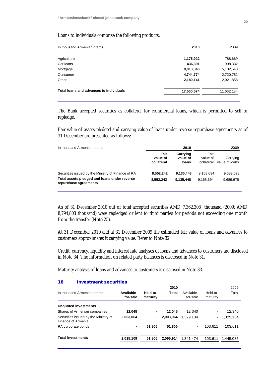## Loans to individuals comprise the following products:

| In thousand Armenian drams              | 2010       | 2009       |
|-----------------------------------------|------------|------------|
|                                         |            |            |
| Agriculture                             | 1,175,922  | 788,669    |
| Car Ioans                               | 436,391    | 998,332    |
| Mortgage                                | 9,013,346  | 5,132,543  |
| Consumer                                | 4,744,774  | 2,720,782  |
| Other                                   | 2,180,141  | 2,021,858  |
| Total loans and advances to individuals | 17,550,574 | 11,662,184 |
|                                         |            |            |

The Bank accepted securities as collateral for commercial loans, which is permitted to sell or repledge.

Fair value of assets pledged and carrying value of loans under reverse repurchase agreements as of 31 December are presented as follows:

|                                | 2010                          |                                | 2009                       |
|--------------------------------|-------------------------------|--------------------------------|----------------------------|
| Fair<br>value of<br>collateral | Carrying<br>value of<br>loans | Fair<br>value of<br>collateral | Carrying<br>value of loans |
|                                |                               |                                | 9.689.678                  |
| 8,552,242                      | 9.135.448                     | 9,168,694                      | 9,689,678                  |
|                                | 8.552.242                     | 9.135.448                      | 9,168,694                  |

As of 31 December 2010 out of total accepted securities AMD 7,362,308 thousand (2009: AMD 8,794,803 thousand) were repledged or lent to third parties for periods not exceeding one month from the transfer (Note 25).

At 31 December 2010 and at 31 December 2009 the estimated fair value of loans and advances to customers approximates it carrying value. Refer to Note 32.

Credit, currency, liquidity and interest rate analyses of loans and advances to customers are disclosed in Note 34. The information on related party balances is disclosed in Note 31.

Maturity analysis of loans and advances to customers is disclosed in Note 33.

#### **18 Investment securities**

|                        |                      | 2010      |                        |                      | 2009         |
|------------------------|----------------------|-----------|------------------------|----------------------|--------------|
| Available-<br>for-sale | Held-to-<br>maturity | Total     | Available-<br>for-sale | Held-to-<br>maturity | Total        |
|                        |                      |           |                        |                      |              |
| 12,045                 |                      | 12.045    | 12.340                 | Ξ.                   | 12.340       |
| 2,003,064              |                      | 2.003.064 | 1.329.134              |                      | $-1.329.134$ |
| ۰                      | 51.805               | 51.805    | $\blacksquare$         | 103.611              | 103.611      |
| 2,015,109              | 51.805               | 2,066,914 | 1.341.474              | 103.611              | 1.445.085    |
|                        |                      |           |                        |                      |              |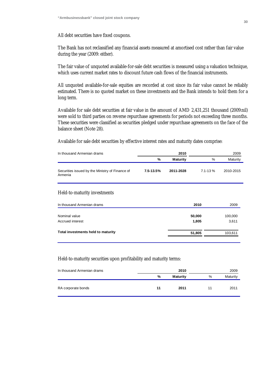# All debt securities have fixed coupons.

The Bank has not reclassified any financial assets measured at amortised cost rather than fair value during the year (2009: either).

The fair value of unquoted available-for-sale debt securities is measured using a valuation technique, which uses current market rates to discount future cash flows of the financial instruments.

All unquoted available-for-sale equities are recorded at cost since its fair value cannot be reliably estimated. There is no quoted market on these investments and the Bank intends to hold them for a long term.

Available for sale debt securities at fair value in the amount of AMD 2,431,251 thousand (2009:nil) were sold to third parties on reverse repurchase agreements for periods not exceeding three months. These securities were classified as securities pledged under repurchase agreements on the face of the balance sheet (Note 28).

Available for sale debt securities by effective interest rates and maturity dates comprise:

| In thousand Armenian drams                                 | 2010          |                 |              | 2009      |
|------------------------------------------------------------|---------------|-----------------|--------------|-----------|
|                                                            | %             | <b>Maturity</b> | $\%$         | Maturity  |
| Securities issued by the Ministry of Finance of<br>Armenia | $7.5 - 13.5%$ | 2011-2028       | $7.1 - 13\%$ | 2010-2015 |

# Held-to-maturity investments

| In thousand Armenian drams         | 2010   | 2009    |
|------------------------------------|--------|---------|
| Nominal value                      | 50,000 | 100,000 |
| Accrued interest                   | 1,805  | 3,611   |
| Total investments held to maturity | 51,805 | 103,611 |

# Held-to-maturity securities upon profitability and maturity terms:

| In thousand Armenian drams |    | 2010            |    | 2009     |
|----------------------------|----|-----------------|----|----------|
|                            | %  | <b>Maturity</b> | %  | Maturity |
| RA corporate bonds         | 11 | 2011            | 11 | 2011     |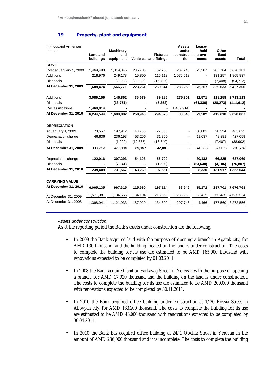#### **19 Property, plant and equipment**

| In thousand Armenian<br>drams | <b>Land and</b> | <b>Machinery</b><br>and |           | <b>Fixtures</b>       | <b>Assets</b><br>under<br>construc | Lease-<br>hold<br>improve- | Other<br>fixed |              |
|-------------------------------|-----------------|-------------------------|-----------|-----------------------|------------------------------------|----------------------------|----------------|--------------|
|                               | buildings       | equipment               |           | Vehicles and fittings | tion                               | ments                      | assets         | <b>Total</b> |
| <b>COST</b>                   |                 |                         |           |                       |                                    |                            |                |              |
| Cost at January 1, 2009       | 1,469,498       | 1,319,845               | 235,786   | 162,255               | 207,746                            | 75,267                     | 205,784        | 3,676,181    |
| <b>Additions</b>              | 218,976         | 249,178                 | 15,800    | 115,113               | 1,075,513                          |                            | 131,257        | 1,805,837    |
| <b>Disposals</b>              |                 | (2,252)                 | (28, 325) | (16, 727)             |                                    |                            | (7, 408)       | (54, 712)    |
| At December 31, 2009          | 1,688,474       | 1,566,771               | 223,261   | 260,641               | 1,283,259                          | 75,267                     | 329,633        | 5,427,306    |
| <b>Additions</b>              | 3,086,156       | 145,862                 | 35,679    | 39,286                | 275,301                            | 12,571                     | 118.258        | 3,713,113    |
| Disposals                     |                 | (13,751)                |           | (5,252)               |                                    | (64, 336)                  | (28, 273)      | (111, 612)   |
| Reclassifications             | 1,469,914       |                         |           |                       | (1,469,914)                        |                            |                |              |
| At December 31, 2010          | 6,244,544       | 1,698,882               | 258,940   | 294,675               | 88,646                             | 23,502                     | 419,618        | 9,028,807    |
| <b>DEPRECIATION</b>           |                 |                         |           |                       |                                    |                            |                |              |
| At January 1, 2009            | 70,557          | 197,912                 | 48,766    | 27,365                |                                    | 30,801                     | 28,224         | 403,625      |
| Depreciation charge           | 46,836          | 236,193                 | 53,256    | 31,356                |                                    | 11,037                     | 48,381         | 427,059      |
| <b>Disposals</b>              |                 | (1,990)                 | (12, 865) | (16, 640)             |                                    |                            | (7, 407)       | (38, 902)    |
| At December 31, 2009          | 117,393         | 432,115                 | 89,157    | 42,081                |                                    | 41,838                     | 69,198         | 791,782      |
| Depreciation charge           | 122,016         | 307,293                 | 54,103    | 56,700                |                                    | 30,132                     | 66,825         | 637,069      |
| <b>Disposals</b>              |                 | (7, 841)                |           | (1,220)               |                                    | (63, 640)                  | (4, 106)       | (76, 807)    |
| At December 31, 2010          | 239,409         | 731,567                 | 143,260   | 97,561                |                                    | 8,330                      | 131,917        | 1,352,044    |
| <b>CARRYING VALUE</b>         |                 |                         |           |                       |                                    |                            |                |              |
| At December 31, 2010          | 6,005,135       | 967,315                 | 115,680   | 197,114               | 88,646                             | 15,172                     | 287,701        | 7,676,763    |
| At December 31, 2009          | 1,571,081       | 1,134,656               | 134,104   | 218,560               | 1,283,259                          | 33,429                     | 260,435        | 4,635,524    |
| At December 31, 2008          | 1,398,941       | 1,121,933               | 187,020   | 134,890               | 207,746                            | 44,466                     | 177,560        | 3,272,556    |

#### *Assets under construction*

As at the reporting period the Bank's assets under construction are the following.

- In 2009 the Bank acquired land with the purpose of opening a branch in Agarak city, for AMD 130 thousand, and the building located on the land is under construction. The costs to complete the building for its use are estimated to be AMD 165,000 thousand with renovations expected to be completed by 01.03.2011.
- In 2008 the Bank acquired land on Sarkavag Street, in Yerevan with the purpose of opening a branch, for AMD 17,920 thousand and the building on the land is under construction. The costs to complete the building for its use are estimated to be AMD 200,000 thousand with renovations expected to be completed by 30.11.2011.
- In 2010 the Bank acquired office building under construction at 1/20 Rossia Street in Abovyan city, for AMD 133,200 thousand. The costs to complete the building for its use are estimated to be AMD 43,000 thousand with renovations expected to be completed by 30.04.2011.
- In 2010 the Bank has acquired office building at 24/1 Qochar Street in Yerevan in the amount of AMD 236,000 thousand and it is incomplete. The costs to complete the building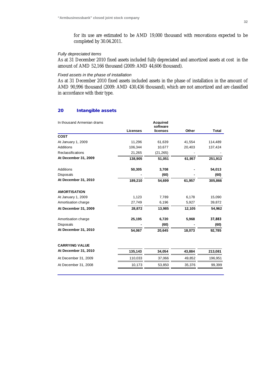for its use are estimated to be AMD 19,000 thousand with renovations expected to be completed by 30.04.2011.

# *Fully depreciated items*

As at 31 December 2010 fixed assets included fully depreciated and amortized assets at cost in the amount of AMD 52,166 thousand (2009: AMD 44,606 thousand).

# *Fixed assets in the phase of installation*

As at 31 December 2010 fixed assets included assets in the phase of installation in the amount of AMD 90,996 thousand (2009: AMD 430,436 thousand), which are not amortized and are classified in accordance with their type.

# **20 Intangible assets**

| In thousand Armenian drams |                 | <b>Acquired</b><br>software |        |              |
|----------------------------|-----------------|-----------------------------|--------|--------------|
|                            | <b>Licenses</b> | licenses                    | Other  | <b>Total</b> |
| <b>COST</b>                |                 |                             |        |              |
| At January 1, 2009         | 11,296          | 61,639                      | 41,554 | 114,489      |
| <b>Additions</b>           | 106,344         | 10,677                      | 20,403 | 137,424      |
| Reclassifications          | 21,265          | (21, 265)                   |        |              |
| At December 31, 2009       | 138,905         | 51,051                      | 61,957 | 251,913      |
| Additions                  | 50,305          | 3,708                       |        | 54,013       |
| Disposals                  |                 | (60)                        |        | (60)         |
| At December 31, 2010       | 189,210         | 54,699                      | 61,957 | 305,866      |
| <b>AMORTISATION</b>        |                 |                             |        |              |
| At January 1, 2009         | 1,123           | 7,789                       | 6,178  | 15,090       |
| Amortisation charge        | 27,749          | 6,196                       | 5,927  | 39,872       |
| At December 31, 2009       | 28,872          | 13,985                      | 12,105 | 54,962       |
| Amortisation charge        | 25,195          | 6,720                       | 5,968  | 37,883       |
| Disposals                  |                 | (60)                        |        | (60)         |
| At December 31, 2010       | 54,067          | 20,645                      | 18,073 | 92,785       |
| <b>CARRYING VALUE</b>      |                 |                             |        |              |
| At December 31, 2010       | 135,143         | 34,054                      | 43,884 | 213,081      |
| At December 31, 2009       | 110,033         | 37,066                      | 49,852 | 196,951      |
| At December 31, 2008       | 10,173          | 53,850                      | 35,376 | 99,399       |
|                            |                 |                             |        |              |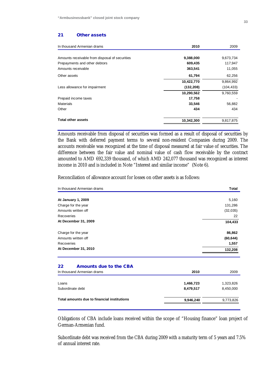#### **21 Other assets**

| In thousand Armenian drams                     | 2010       | 2009       |
|------------------------------------------------|------------|------------|
|                                                |            |            |
| Amounts receivable from disposal of securities | 9,388,000  | 9,673,734  |
| Prepayments and other debtors                  | 609,435    | 117,947    |
| Amounts receivable                             | 363,541    | 11,055     |
| Other assets                                   | 61,794     | 62,256     |
|                                                | 10,422,770 | 9,864,992  |
| Less allowance for impairment                  | (132, 208) | (104, 433) |
|                                                | 10,290,562 | 9,760,559  |
| Prepaid income taxes                           | 17,758     |            |
| <b>Materials</b>                               | 33,546     | 56,882     |
| Other                                          | 434        | 434        |
| <b>Total other assets</b>                      | 10,342,300 | 9,817,875  |
|                                                |            |            |

Amounts receivable from disposal of securities was formed as a result of disposal of securities by the Bank with deferred payment terms to several non-resident Companies during 2009. The accounts receivable was recognized at the time of disposal measured at fair value of securities. The difference between the fair value and nominal value of cash flow receivable by the contract amounted to AMD 692,339 thousand, of which AMD 242,077 thousand was recognized as interest income in 2010 and is included in Note "Interest and similar income" (Note 6).

Reconciliation of allowance account for losses on other assets is as follows:

| In thousand Armenian drams                  |           | Total     |
|---------------------------------------------|-----------|-----------|
|                                             |           |           |
| At January 1, 2009                          |           | 5,160     |
| Charge for the year                         |           | 131,286   |
| Amounts written off                         |           | (32, 035) |
| Recoveries                                  |           | 22        |
| At December 31, 2009                        |           | 104,433   |
| Charge for the year                         |           | 86,862    |
| Amounts written off                         |           | (60, 644) |
| Recoveries                                  |           | 1,557     |
| At December 31, 2010                        |           | 132,208   |
| Amounts due to the CBA<br>22                |           |           |
| In thousand Armenian drams                  | 2010      | 2009      |
| Loans                                       | 1,466,723 | 1,323,826 |
| Subordinate debt                            | 8,479,517 | 8,450,000 |
| Total amounts due to financial institutions | 9,946,240 | 9,773,826 |

Obligations of CBA include loans received within the scope of "Housing finance" loan project of German-Armenian fund.

Subordinate debt was received from the CBA during 2009 with a maturity term of 5 years and 7.5% of annual interest rate.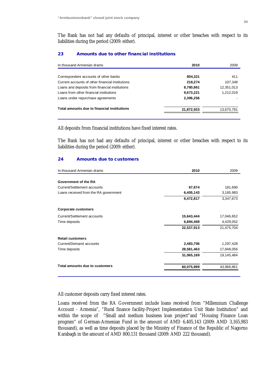The Bank has not had any defaults of principal, interest or other breaches with respect to its liabilities during the period (2009: either).

# **23 Amounts due to other financial institutions**

| In thousand Armenian drams                       | 2010       | 2009       |
|--------------------------------------------------|------------|------------|
|                                                  |            |            |
| Correspondent accounts of other banks            | 804.321    | 411        |
| Current accounts of other financial institutions | 218,274    | 107,348    |
| Loans and deposits from financial institutions   | 8,780,861  | 12,351,013 |
| Loans from other financial institutions          | 9,673,221  | 1.212.019  |
| Loans under repurchase agreements                | 2,396,256  |            |
| Total amounts due to financial institutions      | 21,872,933 | 13,670,791 |
|                                                  |            |            |

All deposits from financial institutions have fixed interest rates.

The Bank has not had any defaults of principal, interest or other breaches with respect to its liabilities during the period (2009: either).

# **24 Amounts due to customers**

| 2010<br>In thousand Armenian drams    |            | 2009       |
|---------------------------------------|------------|------------|
|                                       |            |            |
| Government of the RA                  |            |            |
| Current/Settlement accounts           | 67,674     | 181,690    |
| Loans received from the RA government | 6,405,143  | 3,165,983  |
|                                       | 6,472,817  | 3,347,673  |
| <b>Corporate customers</b>            |            |            |
| Current/Settlement accounts           | 15,643,444 | 17,046,652 |
| Time deposits                         | 6,894,469  | 4,429,052  |
|                                       | 22,537,913 | 21,475,704 |
| <b>Retail customers</b>               |            |            |
| Current/Demand accounts               | 2,483,706  | 1,297,428  |
| Time deposits                         | 28,581,463 | 17,848,056 |
|                                       | 31,065,169 | 19,145,484 |
| Total amounts due to customers        | 60,075,899 | 43,968,861 |
|                                       |            |            |

All customer deposits carry fixed interest rates.

Loans received from the RA Government include loans received from "Millennium Challenge Account - Armenia", "Rural finance facility-Project Implementation Unit State Institution" and within the scope of "Small and medium business loan project"and "Housing Finance Loan program" of German-Armenian Fund in the amount of AMD 6,405,143 (2009: AMD 3,165,983 thousand), as well as time deposits placed by the Ministry of Finance of the Republic of Nagorno Karabagh in the amount of AMD 800,131 thousand (2009: AMD 222 thousand).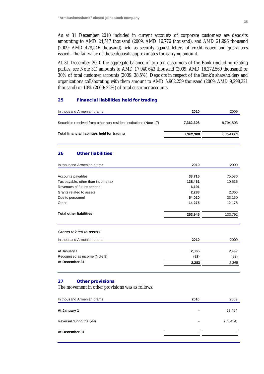As at 31 December 2010 included in current accounts of corporate customers are deposits amounting to AMD 24,517 thousand (2009: AMD 16,776 thousand), and AMD 21,996 thousand (2009: AMD 478,546 thousand) held as security against letters of credit issued and guarantees issued. The fair value of those deposits approximates the carrying amount.

At 31 December 2010 the aggregate balance of top ten customers of the Bank (including relating parties, see Note 31) amounts to AMD 17,940,643 thousand (2009: AMD 16,272,569 thousand) or 30% of total customer accounts (2009: 38.5%). Deposits in respect of the Bank's shareholders and organizations collaborating with them amount to AMD 5,902,259 thousand (2009: AMD 9,298,321 thousand) or 10% (2009: 22%) of total customer accounts.

# **25 Financial liabilities held for trading**

| In thousand Armenian drams                                         | 2010      | 2009      |
|--------------------------------------------------------------------|-----------|-----------|
| Securities received from other non-resident institutions (Note 17) | 7,362,308 | 8,794,803 |
| Total financial liabilities held for trading                       | 7,362,308 | 8,794,803 |
| 26<br><b>Other liabilities</b>                                     |           |           |
| In thousand Armenian drams                                         | 2010      | 2009      |
| Accounts payables                                                  | 38,715    | 75,576    |
| Tax payable, other than income tax                                 | 138,461   | 10,516    |
| Revenues of future periods                                         | 6,191     |           |
| Grants related to assets                                           | 2,283     | 2,365     |
| Due to personnel                                                   | 54,020    | 33,160    |
| Other                                                              | 14,275    | 12,175    |
| <b>Total other liabilities</b>                                     | 253,945   | 133,792   |
| Grants related to assets                                           |           |           |
| In thousand Armenian drams                                         | 2010      | 2009      |
| At January 1                                                       | 2,365     | 2,447     |
| Recognised as income (Note 9)                                      | (82)      | (82)      |
| At December 31                                                     | 2,283     | 2,365     |
|                                                                    |           |           |

# **27 Other provisions**

The movement in other provisions was as follows:

| In thousand Armenian drams | 2010 | 2009      |
|----------------------------|------|-----------|
| At January 1               |      | 53,454    |
| Reversal during the year   |      | (53, 454) |
| At December 31             |      |           |
|                            |      |           |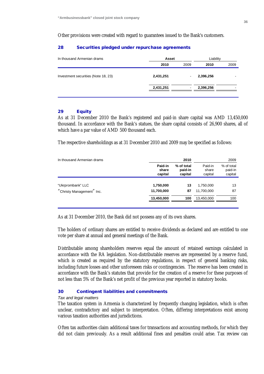#### Other provisions were created with regard to guarantees issued to the Bank's customers.

# **28 Securities pledged under repurchase agreements**

| In thousand Armenian drams          | Asset     |      | Liability |      |
|-------------------------------------|-----------|------|-----------|------|
|                                     | 2010      | 2009 | 2010      | 2009 |
| Investment securities (Note 18, 23) | 2,431,251 |      | 2,396,256 | -    |
|                                     | 2,431,251 |      | 2,396,256 | -    |
|                                     |           |      |           |      |

# **29 Equity**

As at 31 December 2010 the Bank's registered and paid-in share capital was AMD 13,450,000 thousand. In accordance with the Bank's statues, the share capital consists of 26,900 shares, all of which have a par value of AMD 500 thousand each.

The respective shareholdings as at 31 December 2010 and 2009 may be specified as follows:

| In thousand Armenian drams |                             | 2010                             |                             | 2009                             |  |
|----------------------------|-----------------------------|----------------------------------|-----------------------------|----------------------------------|--|
|                            | Paid-in<br>share<br>capital | % of total<br>paid-in<br>capital | Paid-in<br>share<br>capital | % of total<br>paid-in<br>capital |  |
|                            |                             |                                  |                             |                                  |  |
| "Ukrprombank" LLC          | 1,750,000                   | 13                               | 1,750,000                   | 13                               |  |
| "Christy Management" Inc.  | 11,700,000                  | 87                               | 11,700,000                  | 87                               |  |
|                            | 13,450,000                  | 100                              | 13,450,000                  | 100                              |  |
|                            |                             |                                  |                             |                                  |  |

As at 31 December 2010, the Bank did not possess any of its own shares.

The holders of ordinary shares are entitled to receive dividends as declared and are entitled to one vote per share at annual and general meetings of the Bank.

Distributable among shareholders reserves equal the amount of retained earnings calculated in accordance with the RA legislation. Non-distributable reserves are represented by a reserve fund, which is created as required by the statutory regulations, in respect of general banking risks, including future losses and other unforeseen risks or contingencies. The reserve has been created in accordance with the Bank's statutes that provide for the creation of a reserve for these purposes of not less than 5% of the Bank's net profit of the previous year reported in statutory books.

# **30 Contingent liabilities and commitments**

#### *Tax and legal matters*

The taxation system in Armenia is characterized by frequently changing legislation, which is often unclear, contradictory and subject to interpretation. Often, differing interpretations exist among various taxation authorities and jurisdictions.

Often tax authorities claim additional taxes for transactions and accounting methods, for which they did not claim previously. As a result additional fines and penalties could arise. Tax review can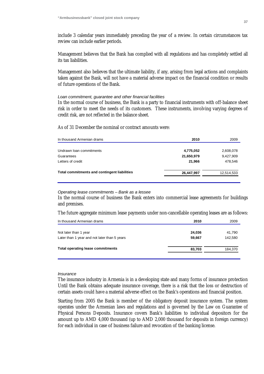include 3 calendar years immediately preceding the year of a review. In certain circumstances tax review can include earlier periods.

Management believes that the Bank has complied with all regulations and has completely settled all its tax liabilities.

Management also believes that the ultimate liability, if any, arising from legal actions and complaints taken against the Bank, will not have a material adverse impact on the financial condition or results of future operations of the Bank.

#### *Loan commitment, guarantee and other financial facilities*

In the normal course of business, the Bank is a party to financial instruments with off-balance sheet risk in order to meet the needs of its customers. These instruments, involving varying degrees of credit risk, are not reflected in the balance sheet.

As of 31 December the nominal or contract amounts were:

| In thousand Armenian drams                          | 2010       | 2009       |
|-----------------------------------------------------|------------|------------|
|                                                     |            |            |
| Undrawn Ioan commitments                            | 4,775,052  | 2,608,078  |
| Guarantees                                          | 21,650,979 | 9,427,909  |
| Letters of credit                                   | 21,966     | 478,546    |
| <b>Total commitments and contingent liabilities</b> | 26,447,997 | 12,514,533 |
|                                                     |            |            |

#### *Operating lease commitments – Bank as a lessee*

In the normal course of business the Bank enters into commercial lease agreements for buildings and premises.

The future aggregate minimum lease payments under non-cancellable operating leases are as follows:

| 2010   | 2009    |
|--------|---------|
| 24,036 | 41,790  |
| 59.667 | 142,580 |
| 83,703 | 184,370 |
|        |         |

#### *Insurance*

The insurance industry in Armenia is in a developing state and many forms of insurance protection Until the Bank obtains adequate insurance coverage, there is a risk that the loss or destruction of certain assets could have a material adverse effect on the Bank's operations and financial position.

Starting from 2005 the Bank is member of the obligatory deposit insurance system. The system operates under the Armenian laws and regulations and is governed by the Law on Guarantee of Physical Persons Deposits. Insurance covers Bank's liabilities to individual depositors for the amount up to AMD 4,000 thousand (up to AMD 2,000 thousand for deposits in foreign currency) for each individual in case of business failure and revocation of the banking license.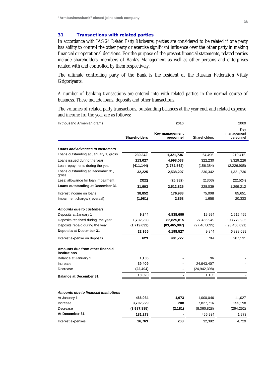# **31 Transactions with related parties**

In accordance with IAS 24 *Related Party Disclosures*, parties are considered to be related if one party has ability to control the other party or exercise significant influence over the other party in making financial or operational decisions. For the purpose of the present financial statements, related parties include shareholders, members of Bank's Management as well as other persons and enterprises related with and controlled by them respectively.

The ultimate controlling party of the Bank is the resident of the Russian Federation Vitaly Grigoriyants.

A number of banking transactions are entered into with related parties in the normal course of business. These include loans, deposits and other transactions.

The volumes of related party transactions, outstanding balances at the year end, and related expense and income for the year are as follows:

| In thousand Armenian drams                       |                     | 2010                        | 2009           |                                |  |
|--------------------------------------------------|---------------------|-----------------------------|----------------|--------------------------------|--|
|                                                  | <b>Shareholders</b> | Key management<br>personnel | Shareholders   | Key<br>management<br>personnel |  |
| Loans and advances to customers                  |                     |                             |                |                                |  |
| Loans outstanding at January 1, gross            | 230,342             | 1,321,736                   | 64,496         | 219,415                        |  |
| Loans issued during the year                     | 213,027             | 4,998,033                   | 322,230        | 3,329,226                      |  |
| Loan repayments during the year                  | (411, 144)          | (3,781,562)                 | (156, 384)     | (2,226,905)                    |  |
| Loans outstanding at December 31,<br>gross       | 32,225              | 2,538,207                   | 230,342        | 1,321,736                      |  |
| Less: allowance for loan impairment              | (322)               | (25, 382)                   | (2,303)        | (22, 524)                      |  |
| Loans outstanding at December 31                 | 31,903              | 2,512,825                   | 228,039        | 1,299,212                      |  |
| Interest income on loans                         | 38,852              | 176,983                     | 75,008         | 85,651                         |  |
| Impairment charge/ (reversal)                    | (1,981)             | 2,858                       | 1,658          | 20,333                         |  |
| <b>Amounts due to customers</b>                  |                     |                             |                |                                |  |
| Deposits at January 1                            | 9,844               | 6,838,699                   | 19,994         | 1,515,455                      |  |
| Deposits received during the year                | 1,732,203           | 82,825,815                  | 27,456,949     | 103,779,935                    |  |
| Deposits repaid during the year                  | (1,719,692)         | (83, 465, 987)              | (27, 467, 099) | (98, 456, 691)                 |  |
| <b>Deposits at December 31</b>                   | 22,355              | 6,198,527                   | 9,844          | 6,838,699                      |  |
| Interest expense on deposits                     | 623                 | 401,727                     | 704            | 207,131                        |  |
| Amounts due from other financial<br>institutions |                     |                             |                |                                |  |
| Balance at January 1                             | 1,105               |                             | 96             |                                |  |
| Increase                                         | 39,409              |                             | 24,943,407     |                                |  |
| Decrease                                         | (22, 494)           |                             | (24, 942, 398) |                                |  |
| <b>Balance at December 31</b>                    | 18,020              |                             | 1,105          |                                |  |
| <b>Amounts due to financial institutions</b>     |                     |                             |                |                                |  |
| At January 1                                     | 466,934             | 1,973                       | 1,000,046      | 11,027                         |  |
| Increase                                         | 3,702,229           | 208                         | 7,827,716      | 255,198                        |  |
| Decrease                                         | (3,987,885)         | (2, 181)                    | (8,360,828)    | (264, 252)                     |  |
| At December 31                                   | 181,278             |                             | 466,934        | 1,973                          |  |
| Interest expenses                                | 16,763              | 208                         | 32,392         | 4,729                          |  |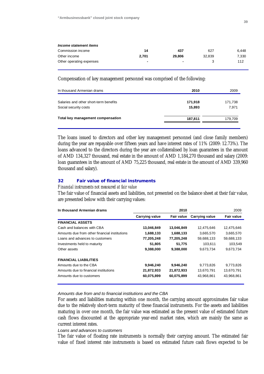| Income statement items   |                          |                |        |       |
|--------------------------|--------------------------|----------------|--------|-------|
| Commission income        | 14                       | 437            | 627    | 6.448 |
| Other income             | 2.701                    | 29,806         | 32.839 | 7.330 |
| Other operating expenses | $\overline{\phantom{0}}$ | $\blacksquare$ |        | 112   |

Compensation of key management personnel was comprised of the following:

| In thousand Armenian drams                                      | 2010              | 2009             |
|-----------------------------------------------------------------|-------------------|------------------|
| Salaries and other short-term benefits<br>Social security costs | 171,918<br>15,893 | 171,738<br>7,971 |
| Total key management compensation                               | 187,811           | 179,709          |

The loans issued to directors and other key management personnel (and close family members) during the year are repayable over fifteen years and have interest rates of 11% (2009: 12.73%). The loans advanced to the directors during the year are collateralised by loan guarantees in the amount of AMD 134,327 thousand, real estate in the amount of AMD 1,184,270 thousand and salary (2009: loan guarantees in the amount of AMD 75,225 thousand, real estate in the amount of AMD 339,960 thousand and salary).

# **32 Fair value of financial instruments**

#### *Financial instruments not measured at fair value*

The fair value of financial assets and liabilities, not presented on the balance sheet at their fair value, are presented below with their carrying values:

| In thousand Armenian drams                    |                       | 2010              |                       | 2009              |  |
|-----------------------------------------------|-----------------------|-------------------|-----------------------|-------------------|--|
|                                               | <b>Carrying value</b> | <b>Fair value</b> | <b>Carrying value</b> | <b>Fair value</b> |  |
| <b>FINANCIAL ASSETS</b>                       |                       |                   |                       |                   |  |
| Cash and balances with CBA                    | 13,046,849            | 13,046,849        | 12,475,646            | 12,475,646        |  |
| Amounts due from other financial institutions | 1,688,133             | 1,688,133         | 3,665,570             | 3,665,570         |  |
| Loans and advances to customers               | 77,205,248            | 77,205,248        | 59,688,133            | 59,688,133        |  |
| Investments held to maturity                  | 51,805                | 51,775            | 103.611               | 103,549           |  |
| Other assets                                  | 9,388,000             | 9,388,000         | 9.673.734             | 9,673,734         |  |
| <b>FINANCIAL LIABILITIES</b>                  |                       |                   |                       |                   |  |
| Amounts due to the CBA                        | 9.946.240             | 9,946,240         | 9.773.826             | 9,773,826         |  |
| Amounts due to financial institutions         | 21,872,933            | 21,872,933        | 13,670,791            | 13,670,791        |  |
| Amounts due to customers                      | 60,075,899            | 60,075,899        | 43,968,861            | 43,968,861        |  |

*Amounts due from and to financial institutions and the CBA* 

For assets and liabilities maturing within one month, the carrying amount approximates fair value due to the relatively short-term maturity of these financial instruments. For the assets and liabilities maturing in over one month, the fair value was estimated as the present value of estimated future cash flows discounted at the appropriate year-end market rates, which are mainly the same as current interest rates.

#### *Loans and advances to customers*

The fair value of floating rate instruments is normally their carrying amount. The estimated fair value of fixed interest rate instruments is based on estimated future cash flows expected to be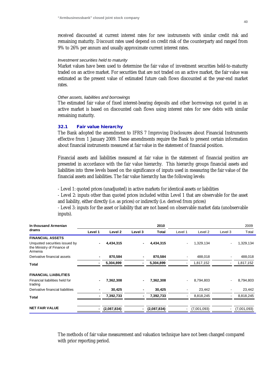received discounted at current interest rates for new instruments with similar credit risk and remaining maturity. Discount rates used depend on credit risk of the counterparty and ranged from 9% to 26% per annum and usually approximate current interest rates.

#### *Investment securities held to maturity*

Market values have been used to determine the fair value of investment securities held-to-maturity traded on an active market. For securities that are not traded on an active market, the fair value was estimated as the present value of estimated future cash flows discounted at the year-end market rates.

#### *Other assets, liabilities and borrowings*

The estimated fair value of fixed interest-bearing deposits and other borrowings not quoted in an active market is based on discounted cash flows using interest rates for new debts with similar remaining maturity.

### **32.1 Fair value hierarchy**

The Bank adopted the amendment to IFRS 7 Improving Disclosures about Financial Instruments effective from 1 January 2009. These amendments require the Bank to present certain information about financial instruments measured at fair value in the statement of financial position.

Financial assets and liabilities measured at fair value in the statement of financial position are presented in accordance with the fair value hierarchy. This hierarchy groups financial assets and liabilities into three levels based on the significance of inputs used in measuring the fair value of the financial assets and liabilities. The fair value hierarchy has the following levels:

- Level 1: quoted prices (unadjusted) in active markets for identical assets or liabilities

- Level 2: inputs other than quoted prices included within Level 1 that are observable for the asset and liability, either directly (i.e. as prices) or indirectly (i.e. derived from prices)

- Level 3: inputs for the asset or liability that are not based on observable market data (unobservable inputs).

| In thousand Armenian                                                   |                          |             |         | 2010        |                          |             |         | 2009        |
|------------------------------------------------------------------------|--------------------------|-------------|---------|-------------|--------------------------|-------------|---------|-------------|
| drams                                                                  | Level 1                  | Level 2     | Level 3 | Total       | Level 1                  | Level 2     | Level 3 | Total       |
| <b>FINANCIAL ASSETS</b>                                                |                          |             |         |             |                          |             |         |             |
| Unquoted securities issued by<br>the Ministry of Finance of<br>Armenia |                          | 4,434,315   |         | 4,434,315   | $\blacksquare$           | 1,329,134   |         | 1,329,134   |
| Derivative financial assets                                            | $\blacksquare$           | 870,584     |         | 870,584     | ۰                        | 488,018     |         | 488,018     |
| Total                                                                  |                          | 5,304,899   |         | 5,304,899   | -                        | 1,817,152   |         | 1,817,152   |
| <b>FINANCIAL LIABILITIES</b>                                           |                          |             |         |             |                          |             |         |             |
| Financial liabilities held for<br>trading                              | $\blacksquare$           | 7,362,308   |         | 7,362,308   | $\blacksquare$           | 8,794,803   |         | 8,794,803   |
| Derivative financial liabilities                                       | $\blacksquare$           | 30,425      |         | 30,425      | $\blacksquare$           | 23,442      |         | 23,442      |
| Total                                                                  | $\blacksquare$           | 7,392,733   |         | 7,392,733   | ۰                        | 8,818,245   |         | 8,818,245   |
| <b>NET FAIR VALUE</b>                                                  | $\overline{\phantom{0}}$ | (2,087,834) |         | (2,087,834) | $\overline{\phantom{0}}$ | (7,001,093) |         | (7,001,093) |

The methods of fair value measurement and valuation technique have not been changed compared with prior reporting period.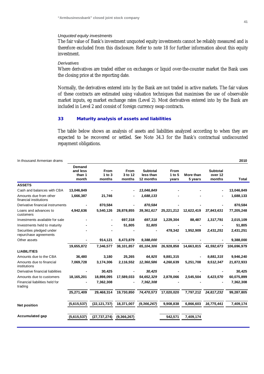#### *Unquoted equity investments*

The fair value of Bank's investment unquoted equity investments cannot be reliably measured and is therefore excluded from this disclosure. Refer to note 18 for further information about this equity investment.

#### *Derivatives*

Where derivatives are traded either on exchanges or liquid over-the-counter market the Bank uses the closing price at the reporting date.

Normally, the derivatives entered into by the Bank are not traded in active markets. The fair values of these contracts are estimated using valuation techniques that maximises the use of observable market inputs, eg market exchange rates (Level 2). Most derivatives entered into by the Bank are included in Level 2 and consist of foreign currency swap contracts.

#### **33 Maturity analysis of assets and liabilities**

The table below shows an analysis of assets and liabilities analyzed according to when they are expected to be recovered or settled. See Note 34.3 for the Bank's contractual undiscounted repayment obligations.

| <b>Demand</b><br>and less |                              |                                  |                                           |                                |                      |                                      |              |
|---------------------------|------------------------------|----------------------------------|-------------------------------------------|--------------------------------|----------------------|--------------------------------------|--------------|
| than 1<br>month           | From<br>$1$ to $3$<br>months | <b>From</b><br>3 to 12<br>months | <b>Subtotal</b><br>less than<br>12 months | <b>From</b><br>1 to 5<br>years | More than<br>5 years | <b>Subtotal</b><br>over 12<br>months | <b>Total</b> |
|                           |                              |                                  |                                           |                                |                      |                                      |              |
| 13,046,849                |                              |                                  | 13,046,849                                |                                |                      |                                      | 13,046,849   |
| 1,666,387                 | 21,746                       |                                  | 1,688,133                                 |                                |                      |                                      | 1,688,133    |
|                           | 870,584                      |                                  | 870,584                                   |                                |                      |                                      | 870,584      |
| 4,942,636                 | 5,540,126                    | 28,878,855                       | 39,361,617                                | 25,221,212                     | 12,622,419           | 37,843,631                           | 77,205,248   |
|                           |                              | 697,318                          | 697,318                                   | 1,229,304                      | 88,487               | 1,317,791                            | 2,015,109    |
|                           |                              | 51,805                           | 51,805                                    |                                |                      |                                      | 51,805       |
|                           |                              |                                  |                                           | 478,342                        | 1,952,909            | 2,431,251                            | 2,431,251    |
|                           | 914,121                      | 8,473,879                        | 9,388,000                                 |                                |                      |                                      | 9,388,000    |
| 19,655,872                | 7,346,577                    | 38,101,857                       | 65, 104, 306                              | 26,928,858                     | 14,663,815           | 41,592,673                           | 106,696,979  |
|                           |                              |                                  |                                           |                                |                      |                                      |              |
| 36,480                    | 3,180                        | 25,265                           | 64,925                                    | 9,881,315                      |                      | 9,881,315                            | 9,946,240    |
| 7,069,728                 | 3,174,306                    | 2,116,552                        | 12,360,586                                | 4,260,639                      | 5,251,708            | 9,512,347                            | 21,872,933   |
|                           | 30,425                       |                                  | 30,425                                    |                                |                      |                                      | 30,425       |
| 18,165,201                | 18,898,095                   | 17,589,033                       | 54,652,329                                | 2,878,066                      | 2,545,504            | 5,423,570                            | 60,075,899   |
|                           | 7,362,308                    |                                  | 7,362,308                                 |                                |                      |                                      | 7,362,308    |
| 25,271,409                | 29,468,314                   | 19,730,850                       | 74,470,573                                | 17,020,020                     | 7,797,212            | 24,817,232                           | 99,287,805   |
| (5,615,537)               | (22,121,737)                 | 18,371,007                       | (9, 366, 267)                             | 9,908,838                      | 6,866,603            | 16,775,441                           | 7,409,174    |
| (5,615,537)               | (27, 737, 274)               | (9,366,267)                      |                                           | 542,571                        | 7,409,174            |                                      |              |
|                           |                              |                                  |                                           |                                |                      |                                      |              |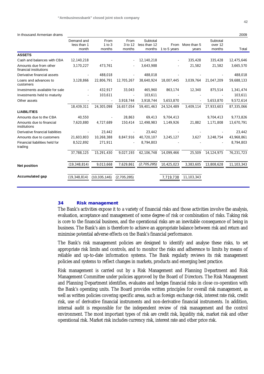In thousand Armenian drams 2009

|                                                  | Demand and<br>less than 1<br>month | From<br>$1$ to $3$<br>months | From<br>3 to 12<br>months | Subtotal<br>less than 12<br>months | From<br>1 to 5 years | More than 5<br>years | Subtotal<br>over 12<br>months | Total      |
|--------------------------------------------------|------------------------------------|------------------------------|---------------------------|------------------------------------|----------------------|----------------------|-------------------------------|------------|
| <b>ASSETS</b>                                    |                                    |                              |                           |                                    |                      |                      |                               |            |
| Cash and balances with CBA                       | 12,140,218                         |                              |                           | 12,140,218                         |                      | 335.428              | 335,428                       | 12,475,646 |
| Amounts due from other<br>financial institutions | 3,170,227                          | 473,761                      |                           | 3,643,988                          |                      | 21,582               | 21,582                        | 3,665,570  |
| Derivative financial assets                      |                                    | 488,018                      |                           | 488,018                            |                      |                      |                               | 488,018    |
| Loans and advances to<br>customers               | 3.128.866                          | 22,806,791                   | 12.705.267                | 38,640,924                         | 18.007.445           | 3.039.764            | 21.047.209                    | 59,688,133 |
| Investments available for sale                   |                                    | 432,917                      | 33,043                    | 465,960                            | 863,174              | 12,340               | 875,514                       | 1,341,474  |
| Investments held to maturity                     |                                    | 103,611                      |                           | 103,611                            |                      |                      |                               | 103,611    |
| Other assets                                     |                                    |                              | 3,918,744                 | 3,918,744                          | 5,653,870            |                      | 5,653,870                     | 9,572,614  |
|                                                  | 18,439,311                         | 24,305,098                   | 16,657,054                | 59.401.463                         | 24,524,489           | 3,409,114            | 27,933,603                    | 87,335,066 |
| <b>LIABILITIES</b>                               |                                    |                              |                           |                                    |                      |                      |                               |            |
| Amounts due to the CBA                           | 40,550                             |                              | 28,863                    | 69,413                             | 9,704,413            |                      | 9,704,413                     | 9,773,826  |
| Amounts due to financial<br>institutions         | 7,620,880                          | 4,727,689                    | 150,414                   | 12,498,983                         | 1,149,926            | 21,882               | 1,171,808                     | 13,670,791 |
| Derivative financial liabilities                 |                                    | 23,442                       |                           | 23,442                             |                      |                      |                               | 23,442     |
| Amounts due to customers                         | 21,603,803                         | 10,268,388                   | 8,847,916                 | 40,720,107                         | 3,245,127            | 3,627                | 3,248,754                     | 43,968,861 |
| Financial liabilities held for<br>trading        | 8,522,892                          | 271,911                      |                           | 8,794,803                          |                      |                      |                               | 8,794,803  |
|                                                  | 37,788,125                         | 15,291,430                   | 9,027,193                 | 62, 106, 748                       | 14,099,466           | 25,509               | 14, 124, 975                  | 76,231,723 |
| <b>Net position</b>                              | 19,348,814                         | 9,013,668                    | 7,629,861                 | (2,705,285)                        | 10,425,023           | 3,383,605            | 13,808,628                    | 11,103,343 |
| <b>Accumulated gap</b>                           | (19,348,814)                       | (10, 335, 146)               | (2,705,285)               |                                    | 7,719,738            | 11,103,343           |                               |            |

#### **34 Risk management**

The Bank's activities expose it to a variety of financial risks and those activities involve the analysis, evaluation, acceptance and management of some degree of risk or combination of risks. Taking risk is core to the financial business, and the operational risks are an inevitable consequence of being in business. The Bank's aim is therefore to achieve an appropriate balance between risk and return and minimise potential adverse effects on the Bank's financial performance.

The Bank's risk management policies are designed to identify and analyse these risks, to set appropriate risk limits and controls, and to monitor the risks and adherence to limits by means of reliable and up-to-date information systems. The Bank regularly reviews its risk management policies and systems to reflect changes in markets, products and emerging best practice.

Risk management is carried out by a Risk Management and Planning Department and Risk Management Committee under policies approved by the Board of Directors. The Risk Management and Planning Department identifies, evaluates and hedges financial risks in close co-operation with the Bank's operating units. The Board provides written principles for overall risk management, as well as written policies covering specific areas, such as foreign exchange risk, interest rate risk, credit risk, use of derivative financial instruments and non-derivative financial instruments. In addition, internal audit is responsible for the independent review of risk management and the control environment. The most important types of risk are credit risk, liquidity risk, market risk and other operational risk. Market risk includes currency risk, interest rate and other price risk.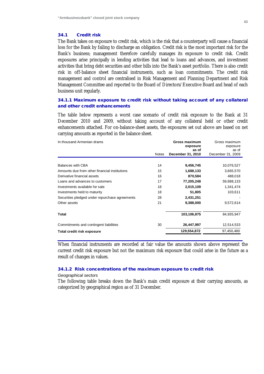#### **34.1 Credit risk**

The Bank takes on exposure to credit risk, which is the risk that a counterparty will cause a financial loss for the Bank by failing to discharge an obligation. Credit risk is the most important risk for the Bank's business; management therefore carefully manages its exposure to credit risk. Credit exposures arise principally in lending activities that lead to loans and advances, and investment activities that bring debt securities and other bills into the Bank's asset portfolio. There is also credit risk in off-balance sheet financial instruments, such as loan commitments. The credit risk management and control are centralised in Risk Management and Planning Department and Risk Management Committee and reported to the Board of Directors/Executive Board and head of each business unit regularly.

# **34.1.1 Maximum exposure to credit risk without taking account of any collateral and other credit enhancements**

The table below represents a worst case scenario of credit risk exposure to the Bank at 31 December 2010 and 2009, without taking account of any collateral held or other credit enhancements attached. For on-balance-sheet assets, the exposures set out above are based on net carrying amounts as reported in the balance sheet.

| In thousand Armenian drams                     |              | Gross maximum<br>exposure | Gross maximum<br>exposure |
|------------------------------------------------|--------------|---------------------------|---------------------------|
|                                                |              | as of                     | as of                     |
|                                                | <b>Notes</b> | December 31, 2010         | December 31, 2009         |
|                                                |              |                           |                           |
| Balances with CBA                              | 14           | 9,456,745                 | 10,076,527                |
| Amounts due from other financial institutions  | 15           | 1,688,133                 | 3,665,570                 |
| Derivative financial assets                    | 16           | 870,584                   | 488,018                   |
| Loans and advances to customers                | 17           | 77,205,248                | 59,688,133                |
| Investments available for sale                 | 18           | 2,015,109                 | 1,341,474                 |
| Investments held to maturity                   | 18           | 51,805                    | 103,611                   |
| Securities pledged under repurchase agreements | 28           | 2,431,251                 |                           |
| Other assets                                   | 21           | 9,388,000                 | 9,572,614                 |
| <b>Total</b>                                   |              | 103,106,875               | 84,935,947                |
| Commitments and contingent liabilities         | 30           | 26,447,997                | 12,514,533                |
| Total credit risk exposure                     |              | 129,554,872               | 97,450,480                |
|                                                |              |                           |                           |

When financial instruments are recorded at fair value the amounts shown above represent the current credit risk exposure but not the maximum risk exposure that could arise in the future as a result of changes in values.

## **34.1.2 Risk concentrations of the maximum exposure to credit risk**

#### *Geographical sectors*

The following table breaks down the Bank's main credit exposure at their carrying amounts, as categorized by geographical region as of 31 December.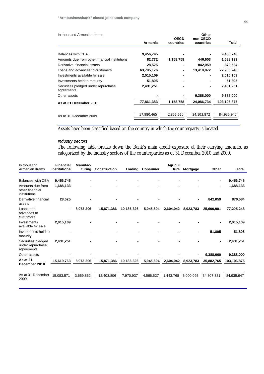| In thousand Armenian drams                        |            | <b>OECD</b> | Other<br>non-OECD |             |
|---------------------------------------------------|------------|-------------|-------------------|-------------|
|                                                   | Armenia    | countries   | countries         | Total       |
|                                                   |            |             |                   |             |
| Balances with CBA                                 | 9,456,745  |             |                   | 9,456,745   |
| Amounts due from other financial institutions     | 82,772     | 1,158,758   | 446,603           | 1,688,133   |
| Derivative financial assets                       | 28,525     |             | 842,059           | 870,584     |
| Loans and advances to customers                   | 63,795,176 |             | 13,410,072        | 77,205,248  |
| Investments available for sale                    | 2,015,109  |             |                   | 2,015,109   |
| Investments held to maturity                      | 51,805     |             |                   | 51,805      |
| Securities pledged under repurchase<br>agreements | 2,431,251  |             |                   | 2,431,251   |
| Other assets                                      |            |             | 9,388,000         | 9,388,000   |
| As at 31 December 2010                            | 77,861,383 | 1,158,758   | 24,086,734        | 103,106,875 |
|                                                   |            |             |                   |             |
| As at 31 December 2009                            | 57,980,465 | 2,851,610   | 24,103,872        | 84,935,947  |
|                                                   |            |             |                   |             |

Assets have been classified based on the country in which the counterparty is located.

# *Industry sectors*

The following table breaks down the Bank's main credit exposure at their carrying amounts, as categorized by the industry sectors of the counterparties as of 31 December 2010 and 2009.

| In thous and<br>Armenian drams                       | <b>Financial</b><br>institutions | Manufac-<br>turing | Construction | Trading    | <b>Consumer</b> | <b>Agricul</b><br>ture | Mortgage  | Other                    | Total       |
|------------------------------------------------------|----------------------------------|--------------------|--------------|------------|-----------------|------------------------|-----------|--------------------------|-------------|
|                                                      |                                  |                    |              |            |                 |                        |           |                          |             |
| <b>Balances with CBA</b>                             | 9,456,745                        |                    |              |            |                 |                        |           |                          | 9,456,745   |
| Amounts due from<br>other financial<br>institutions  | 1,688,133                        |                    |              |            |                 |                        |           | $\overline{\phantom{0}}$ | 1,688,133   |
| Derivative financial<br>assets                       | 28,525                           |                    |              |            |                 |                        |           | 842,059                  | 870,584     |
| Loans and<br>advances to<br>customers                | $\blacksquare$                   | 8,973,206          | 15,871,386   | 10,186,326 | 5,045,604       | 2,604,042              | 8,923,783 | 25,600,901               | 77,205,248  |
| Investments<br>available for sale                    | 2,015,109                        |                    |              |            |                 |                        |           | $\blacksquare$           | 2,015,109   |
| Investments held to<br>maturity                      |                                  |                    |              |            |                 |                        |           | 51,805                   | 51,805      |
| Securities pledged<br>under repurchase<br>agreements | 2,431,251                        |                    |              |            |                 |                        |           | $\blacksquare$           | 2,431,251   |
| Other assets                                         |                                  |                    |              |            |                 |                        |           | 9,388,000                | 9,388,000   |
| As at 31<br>December 2010                            | 15,619,763                       | 8,973,206          | 15,871,386   | 10,186,326 | 5,045,604       | 2,604,042              | 8,923,783 | 35,882,765               | 103,106,875 |
| As at 31 December<br>2009                            | 15,083,571                       | 3,659,862          | 12,403,806   | 7,970,937  | 4,566,527       | 1,443,768              | 5,000,095 | 34,807,381               | 84,935,947  |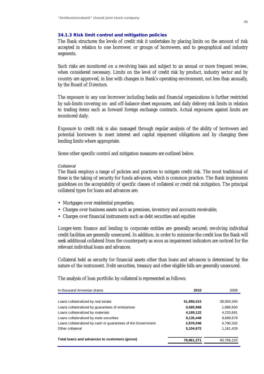# **34.1.3 Risk limit control and mitigation policies**

The Bank structures the levels of credit risk it undertakes by placing limits on the amount of risk accepted in relation to one borrower, or groups of borrowers, and to geographical and industry segments.

Such risks are monitored on a revolving basis and subject to an annual or more frequent review, when considered necessary. Limits on the level of credit risk by product, industry sector and by country are approved, in line with changes in Bank's operating environment, not less than annually, by the Board of Directors.

The exposure to any one borrower including banks and financial organizations is further restricted by sub-limits covering on- and off-balance sheet exposures, and daily delivery risk limits in relation to trading items such as forward foreign exchange contracts. Actual exposures against limits are monitored daily.

Exposure to credit risk is also managed through regular analysis of the ability of borrowers and potential borrowers to meet interest and capital repayment obligations and by changing these lending limits where appropriate.

Some other specific control and mitigation measures are outlined below.

### *Collateral*

The Bank employs a range of policies and practices to mitigate credit risk. The most traditional of these is the taking of security for funds advances, which is common practice. The Bank implements guidelines on the acceptability of specific classes of collateral or credit risk mitigation. The principal collateral types for loans and advances are:

- Mortgages over residential properties;
- Charges over business assets such as premises, inventory and accounts receivable;
- Charges over financial instruments such as debt securities and equities

Longer-term finance and lending to corporate entities are generally secured; revolving individual credit facilities are generally unsecured. In addition, in order to minimise the credit loss the Bank will seek additional collateral from the counterparty as soon as impairment indicators are noticed for the relevant individual loans and advances.

Collateral held as security for financial assets other than loans and advances is determined by the nature of the instrument. Debt securities, treasury and other eligible bills are generally unsecured.

The analysis of loan portfolio by collateral is represented as follows:

| In thousand Armenian drams                                   | 2010       | 2009       |
|--------------------------------------------------------------|------------|------------|
|                                                              |            |            |
| Loans collateralized by real estate                          | 51,990,015 | 39,004,340 |
| Loans collateralized by guarantees of enterprises            | 5,585,968  | 1,886,650  |
| Loans collateralized by materials                            | 4,169,122  | 4,233,691  |
| Loans collateralized by state securities                     | 9,135,448  | 9,689,678  |
| Loans collateralized by cash or guarantees of the Government | 2,876,046  | 4,790,332  |
| Other collateral                                             | 5,104,672  | 1,161,429  |
| Total loans and advances to customers (gross)                | 78,861,271 | 60,766,120 |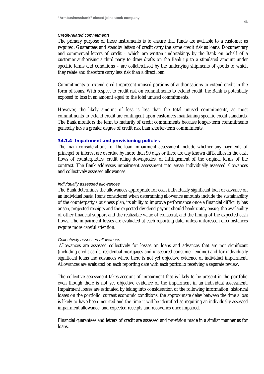#### *Credit-related commitments*

The primary purpose of these instruments is to ensure that funds are available to a customer as required. Guarantees and standby letters of credit carry the same credit risk as loans. Documentary and commercial letters of credit – which are written undertakings by the Bank on behalf of a customer authorising a third party to draw drafts on the Bank up to a stipulated amount under specific terms and conditions – are collateralised by the underlying shipments of goods to which they relate and therefore carry less risk than a direct loan.

Commitments to extend credit represent unused portions of authorisations to extend credit in the form of loans. With respect to credit risk on commitments to extend credit, the Bank is potentially exposed to loss in an amount equal to the total unused commitments.

However, the likely amount of loss is less than the total unused commitments, as most commitments to extend credit are contingent upon customers maintaining specific credit standards. The Bank monitors the term to maturity of credit commitments because longer-term commitments generally have a greater degree of credit risk than shorter-term commitments.

#### **34.1.4 Impairment and provisioning policies**

The main considerations for the loan impairment assessment include whether any payments of principal or interest are overdue by more than 90 days or there are any known difficulties in the cash flows of counterparties, credit rating downgrades, or infringement of the original terms of the contract. The Bank addresses impairment assessment into areas: individually assessed allowances and collectively assessed allowances.

#### *Individually assessed allowances*

The Bank determines the allowances appropriate for each individually significant loan or advance on an individual basis. Items considered when determining allowance amounts include the sustainability of the counterparty's business plan, its ability to improve performance once a financial difficulty has arisen, projected receipts and the expected dividend payout should bankruptcy ensue, the availability of other financial support and the realizable value of collateral, and the timing of the expected cash flows. The impairment losses are evaluated at each reporting date, unless unforeseen circumstances require more careful attention.

#### *Collectively assessed allowances*

Allowances are assessed collectively for losses on loans and advances that are not significant (including credit cards, residential mortgages and unsecured consumer lending) and for individually significant loans and advances where there is not yet objective evidence of individual impairment. Allowances are evaluated on each reporting date with each portfolio receiving a separate review.

The collective assessment takes account of impairment that is likely to be present in the portfolio even though there is not yet objective evidence of the impairment in an individual assessment. Impairment losses are estimated by taking into consideration of the following information: historical losses on the portfolio, current economic conditions, the approximate delay between the time a loss is likely to have been incurred and the time it will be identified as requiring an individually assessed impairment allowance, and expected receipts and recoveries once impaired.

Financial guarantees and letters of credit are assessed and provision made in a similar manner as for loans.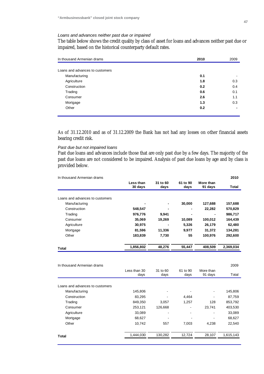# *Loans and advances neither past due or impaired*

The table below shows the credit quality by class of asset for loans and advances neither past due or impaired, based on the historical counterparty default rates.

| In thousand Armenian drams      | 2010 | 2009           |
|---------------------------------|------|----------------|
|                                 |      |                |
| Loans and advances to customers |      |                |
| Manufacturing                   | 0.1  | -              |
| Agriculture                     | 1.8  | 0.3            |
| Construction                    | 0.2  | 0.4            |
| Trading                         | 0.6  | 0.1            |
| Consumer                        | 2.6  | 1.1            |
| Mortgage                        | 1.3  | 0.3            |
| Other                           | 0.2  | $\blacksquare$ |
|                                 |      |                |

As of 31.12.2010 and as of 31.12.2009 the Bank has not had any losses on other financial assets bearing credit risk.

#### *Past due but not impaired loans*

Past due loans and advances include those that are only past due by a few days. The majority of the past due loans are not considered to be impaired. Analysis of past due loans by age and by class is provided below.

| In thousand Armenian drams      |                      |                  |                  |                      | 2010      |
|---------------------------------|----------------------|------------------|------------------|----------------------|-----------|
|                                 | Less than<br>30 days | 31 to 60<br>days | 61 to 90<br>days | More than<br>91 days | Total     |
| Loans and advances to customers |                      |                  |                  |                      |           |
| Manufacturing                   |                      |                  | 30,000           | 127,688              | 157,688   |
| Construction                    | 548,547              |                  |                  | 22,282               | 570,829   |
| Trading                         | 976,776              | 9,941            |                  |                      | 986,717   |
| Consumer                        | 35,069               | 19,269           | 10,089           | 100,012              | 164,439   |
|                                 |                      |                  |                  |                      |           |
| Agriculture                     | 30,975               |                  | 5,326            | 26,179               | 62,480    |
| Mortgage                        | 81,596               | 11,336           | 9,977            | 31,372               | 134,281   |
| Other                           | 183,839              | 7,730            | 55               | 100,976              | 292,600   |
| Total                           | 1,856,802            | 48,276           | 55,447           | 408,509              | 2,369,034 |
| In thousand Armenian drams      |                      |                  |                  |                      | 2009      |
|                                 | Less than 30<br>days | 31 to 60<br>days | 61 to 90<br>days | More than<br>91 days | Total     |
| Loans and advances to customers |                      |                  |                  |                      |           |
| Manufacturing                   | 145,806              |                  |                  |                      | 145,806   |
| Construction                    | 83,295               |                  | 4,464            |                      | 87,759    |
| Trading                         | 849,350              | 3,057            | 1,257            | 128                  | 853,792   |
| Consumer                        | 253,121              | 126,668          |                  | 23,741               | 403,530   |
| Agriculture                     | 33,089               |                  |                  |                      | 33,089    |
| Mortgage                        | 68,627               |                  |                  |                      | 68,627    |
| Other                           | 10,742               | 557              | 7,003            | 4,238                | 22,540    |

**Total** 1,444,030 130,282 12,724 28,107 1,615,143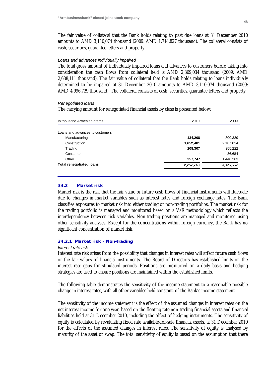The fair value of collateral that the Bank holds relating to past due loans at 31 December 2010 amounts to AMD 3,110,074 thousand (2009: AMD 1,714,827 thousand). The collateral consists of cash, securities, guarantee letters and property.

#### *Loans and advances individually impaired*

The total gross amount of individually impaired loans and advances to customers before taking into consideration the cash flows from collateral held is AMD 2,369,034 thousand (2009: AMD 2,688,111 thousand). The fair value of collateral that the Bank holds relating to loans individually determined to be impaired at 31 December 2010 amounts to AMD 3,110,074 thousand (2009: AMD 4,996,729 thousand). The collateral consists of cash, securities, guarantee letters and property.

#### *Renegotiated loans*

The carrying amount for renegotiated financial assets by class is presented below:

| In thousand Armenian drams      | 2010      | 2009      |
|---------------------------------|-----------|-----------|
|                                 |           |           |
| Loans and advances to customers |           |           |
| Manufacturing                   | 134,208   | 300,339   |
| Construction                    | 1,652,481 | 2,187,024 |
| Trading                         | 208,307   | 355,222   |
| Consumer                        |           | 36,684    |
| Other                           | 257,747   | 1,446,283 |
| <b>Total renegotiated loans</b> | 2,252,743 | 4,325,552 |
|                                 |           |           |

#### **34.2 Market risk**

Market risk is the risk that the fair value or future cash flows of financial instruments will fluctuate due to changes in market variables such as interest rates and foreign exchange rates. The Bank classifies exposures to market risk into either trading or non-trading portfolios. The market risk for the trading portfolio is managed and monitored based on a VaR methodology which reflects the interdependency between risk variables. Non-trading positions are managed and monitored using other sensitivity analyses. Except for the concentrations within foreign currency, the Bank has no significant concentration of market risk.

#### **34.2.1 Market risk – Non-trading**

#### *Interest rate risk*

Interest rate risk arises from the possibility that changes in interest rates will affect future cash flows or the fair values of financial instruments. The Board of Directors has established limits on the interest rate gaps for stipulated periods. Positions are monitored on a daily basis and hedging strategies are used to ensure positions are maintained within the established limits.

The following table demonstrates the sensitivity of the income statement to a reasonable possible change in interest rates, with all other variables held constant, of the Bank's income statement.

The sensitivity of the income statement is the effect of the assumed changes in interest rates on the net interest income for one year, based on the floating rate non-trading financial assets and financial liabilities held at 31 December 2010, including the effect of hedging instruments. The sensitivity of equity is calculated by revaluating fixed rate available-for-sale financial assets, at 31 December 2010 for the effects of the assumed changes in interest rates. The sensitivity of equity is analysed by maturity of the asset or swap. The total sensitivity of equity is based on the assumption that there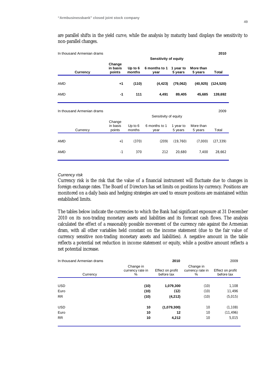are parallel shifts in the yield curve, while the analysis by maturity band displays the sensitivity to non-parallel changes.

| In thousand Armenian drams |                              |                     |                       |                      |                      | 2010       |
|----------------------------|------------------------------|---------------------|-----------------------|----------------------|----------------------|------------|
|                            | <b>Sensitivity of equity</b> |                     |                       |                      |                      |            |
| <b>Currency</b>            | Change<br>in basis<br>points | Up to $6$<br>months | 6 months to 1<br>year | 1 year to<br>5 years | More than<br>5 years | Total      |
| AMD                        | $+1$                         | (110)               | (4, 423)              | (79,062)             | (40, 925)            | (124, 520) |
| AMD                        | $-1$                         | 111                 | 4,491                 | 89,405               | 45,685               | 139,692    |
| In thousand Armenian drams |                              |                     | Sensitivity of equity |                      |                      | 2009       |
|                            | Change                       |                     |                       |                      |                      |            |
| Currency                   | in basis<br>points           | Up to $6$<br>months | 6 months to 1<br>year | 1 year to<br>5 years | More than<br>5 years | Total      |
| AMD                        | $+1$                         | (370)               | (209)                 | (19, 760)            | (7,000)              | (27, 339)  |
| AMD                        | $-1$                         | 370                 | 212                   | 20,680               | 7,400                | 28,662     |

# *Currency risk*

Currency risk is the risk that the value of a financial instrument will fluctuate due to changes in foreign exchange rates. The Board of Directors has set limits on positions by currency. Positions are monitored on a daily basis and hedging strategies are used to ensure positions are maintained within established limits.

The tables below indicate the currencies to which the Bank had significant exposure at 31 December 2010 on its non-trading monetary assets and liabilities and its forecast cash flows. The analysis calculated the effect of a reasonably possible movement of the currency rate against the Armenian dram, with all other variables held constant on the income statement (due to the fair value of currency sensitive non-trading monetary assets and liabilities). A negative amount in the table reflects a potential net reduction in income statement or equity, while a positive amount reflects a net potential increase.

| In thousand Armenian drams | 2010                               |                                |                                    |                                |
|----------------------------|------------------------------------|--------------------------------|------------------------------------|--------------------------------|
| Currency                   | Change in<br>currency rate in<br>% | Effect on profit<br>before tax | Change in<br>currency rate in<br>% | Effect on profit<br>before tax |
|                            |                                    |                                |                                    |                                |
| <b>USD</b>                 | (10)                               | 1,079,300                      | (10)                               | 1,108                          |
| Euro                       | (10)                               | (12)                           | (10)                               | 11,496                         |
| <b>RR</b>                  | (10)                               | (4,212)                        | (10)                               | (5,015)                        |
| <b>USD</b>                 | 10                                 | (1,079,300)                    | 10                                 | (1, 108)                       |
| Euro                       | 10                                 | 12                             | 10                                 | (11, 496)                      |
| <b>RR</b>                  | 10                                 | 4,212                          | 10                                 | 5,015                          |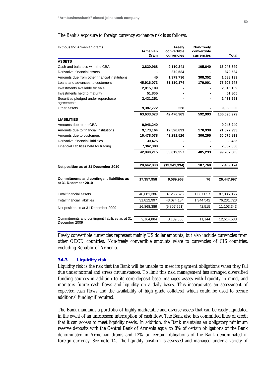#### The Bank's exposure to foreign currency exchange risk is as follows:

| In thousand Armenian drams                                              | Armenian   | Freely<br>convertible | Non-freely<br>convertible |             |
|-------------------------------------------------------------------------|------------|-----------------------|---------------------------|-------------|
|                                                                         | Dram       | currencies            | currencies                | Total       |
| <b>ASSETS</b>                                                           |            |                       |                           |             |
| Cash and balances with the CBA                                          | 3,830,968  | 9,110,241             | 105,640                   | 13,046,849  |
| Derivative financial assets                                             |            | 870,584               |                           | 870,584     |
| Amounts due from other financial institutions                           | 45         | 1,379,736             | 308,352                   | 1,688,133   |
| Loans and advances to customers                                         | 45,916,073 | 31,110,174            | 179,001                   | 77,205,248  |
| Investments available for sale                                          | 2,015,109  |                       |                           | 2,015,109   |
| Investments held to maturity                                            | 51,805     |                       |                           | 51,805      |
| Securities pledged under repurchase<br>agreements                       | 2,431,251  |                       |                           | 2,431,251   |
| Other assets                                                            | 9,387,772  | 228                   |                           | 9,388,000   |
|                                                                         | 63,633,023 | 42,470,963            | 592,993                   | 106,696,979 |
| <b>LIABILITIES</b>                                                      |            |                       |                           |             |
| Amounts due to the CBA                                                  | 9,946,240  |                       |                           | 9,946,240   |
| Amounts due to financial institutions                                   | 9,173,164  | 12,520,831            | 178,938                   | 21,872,933  |
| Amounts due to customers                                                | 16,478,078 | 43,291,526            | 306,295                   | 60,075,899  |
| Derivative financial liabilities                                        | 30,425     |                       |                           | 30,425      |
| Financial liabilities held for trading                                  | 7,362,308  |                       |                           | 7,362,308   |
|                                                                         | 42,990,215 | 55,812,357            | 485,233                   | 99,287,805  |
| Net position as at 31 December 2010                                     | 20,642,808 | (13, 341, 394)        | 107,760                   | 7,409,174   |
| <b>Commitments and contingent liabilities as</b><br>at 31 December 2010 | 17,357,958 | 9,089,963             | 76                        | 26,447,997  |
| <b>Total financial assets</b>                                           | 48,681,386 | 37,266,623            | 1,387,057                 | 87,335,066  |
| <b>Total financial liabilities</b>                                      | 31,812,997 | 43,074,184            | 1,344,542                 | 76,231,723  |
|                                                                         | 16,868,389 | (5,807,561)           | 42,515                    | 11,103,343  |
| Net position as at 31 December 2009                                     |            |                       |                           |             |
| Commitments and contingent liabilities as at 31<br>December 2009        | 9,364,004  | 3,139,385             | 11,144                    | 12,514,533  |
|                                                                         |            |                       |                           |             |

Freely convertible currencies represent mainly US dollar amounts, but also include currencies from other OECD countries. Non-freely convertible amounts relate to currencies of CIS countries, excluding Republic of Armenia.

# **34.3 Liquidity risk**

Liquidity risk is the risk that the Bank will be unable to meet its payment obligations when they fall due under normal and stress circumstances. To limit this risk, management has arranged diversified funding sources in addition to its core deposit base, manages assets with liquidity in mind, and monitors future cash flows and liquidity on a daily bases. This incorporates an assessment of expected cash flows and the availability of high grade collateral which could be used to secure additional funding if required.

The Bank maintains a portfolio of highly marketable and diverse assets that can be easily liquidated in the event of an unforeseen interruption of cash flow. The Bank also has committed lines of credit that it can access to meet liquidity needs. In addition, the Bank maintains an obligatory minimum reserve deposits with the Central Bank of Armenia equal to 8% of certain obligations of the Bank denominated in Armenian drams and 12% on certain obligations of the Bank denominated in foreign currency. See note 14. The liquidity position is assessed and managed under a variety of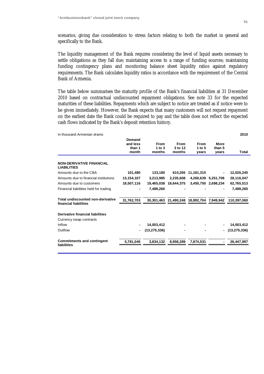scenarios, giving due consideration to stress factors relating to both the market in general and specifically to the Bank.

The liquidity management of the Bank requires considering the level of liquid assets necessary to settle obligations as they fall due; maintaining access to a range of funding sources; maintaining funding contingency plans and monitoring balance sheet liquidity ratios against regulatory requirements. The Bank calculates liquidity ratios in accordance with the requirement of the Central Bank of Armenia.

The table below summarises the maturity profile of the Bank's financial liabilities at 31 December 2010 based on contractual undiscounted repayment obligations. See note 33 for the expected maturities of these liabilities. Repayments which are subject to notice are treated as if notice were to be given immediately. However, the Bank expects that many customers will not request repayment on the earliest date the Bank could be required to pay and the table does not reflect the expected cash flows indicated by the Bank's deposit retention history.

| Demand<br>and less<br>More<br><b>From</b><br><b>From</b><br><b>From</b><br>3 to 12<br>1 to $3$<br>1 to $5$<br>than 1<br>than 5<br>month<br>months<br>months<br>vears<br>years | Total          |
|-------------------------------------------------------------------------------------------------------------------------------------------------------------------------------|----------------|
|                                                                                                                                                                               |                |
| <b>NON-DERIVATIVE FINANCIAL</b>                                                                                                                                               |                |
| <b>LIABILITIES</b>                                                                                                                                                            |                |
| Amounts due to the CBA<br>101,480<br>133,180<br>610,265<br>11,181,315                                                                                                         | 12,026,240     |
| Amounts due to financial institutions<br>13,154,107<br>3,213,985<br>2,235,608<br>4,260,639<br>5,251,708                                                                       | 28,116,047     |
| 18,507,116<br>Amounts due to customers<br>19,465,038<br>18.644.375<br>3.450.750<br>2.698.234                                                                                  | 62,765,513     |
| Financial liabilities held for trading<br>7,489,260                                                                                                                           | 7,489,260      |
| <b>Total undiscounted non-derivative</b><br>31,762,703<br>30,301,463 21,490,248 18,892,704 7,949,942<br>financial liabilities                                                 | 110.397.060    |
| <b>Derivative financial liabilities</b>                                                                                                                                       |                |
| Currency swap contracts                                                                                                                                                       |                |
| Inflow<br>14,003,412                                                                                                                                                          | 14,003,412     |
| Outflow<br>(13, 275, 336)<br>$\blacksquare$                                                                                                                                   | (13, 275, 336) |
| <b>Commitments and contingent</b><br>5,781,045<br>3,834,132<br>8,958,289<br>7,874,531<br>liabilities                                                                          | 26,447,997     |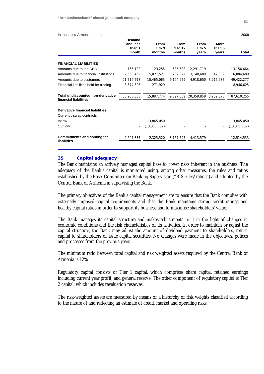#### In thousand Armenian drams 2009

|                                                            | Demand<br>and less<br>than 1<br>month | <b>From</b><br>1 to $3$<br>months         | From<br>3 to 12<br>months | From<br>1 to $5$<br>vears | More<br>than 5<br>years | Total          |
|------------------------------------------------------------|---------------------------------------|-------------------------------------------|---------------------------|---------------------------|-------------------------|----------------|
|                                                            |                                       |                                           |                           |                           |                         |                |
| <b>FINANCIAL LIABILITIES</b>                               |                                       |                                           |                           |                           |                         |                |
| Amounts due to the CBA                                     | 156,102                               | 123,255                                   | 585,588                   | 12,291,719                |                         | 13,156,664     |
| Amounts due to financial institutions                      | 7,658,462                             | 5,027,527                                 | 207,322                   | 3,148,489                 | 42,889                  | 16,084,689     |
| Amounts due to customers                                   | 21,716,598                            | 10,465,063                                | 9,104,979                 |                           | 4,918,650 3,216,987     | 49,422,277     |
| Financial liabilities held for trading                     | 8,674,696                             | 271,929                                   |                           |                           |                         | 8,946,625      |
| Total undiscounted non-derivative<br>financial liabilities | 38,205,858                            | 15,887,774 9,897,889 20,358,858 3,259,876 |                           |                           |                         | 87,610,255     |
| Derivative financial liabilities                           |                                       |                                           |                           |                           |                         |                |
| Currency swap contracts                                    |                                       |                                           |                           |                           |                         |                |
| Inflow                                                     |                                       | 13,845,050                                |                           |                           |                         | 13,845,050     |
| Outflow                                                    |                                       | (13, 371, 182)                            |                           |                           | $\bar{\phantom{a}}$     | (13, 371, 182) |
| <b>Commitments and contingent</b><br>liabilities           | 2,607,837                             | 2,325,520                                 | 3,167,597                 | 4,413,579                 |                         | 12,514,533     |

#### **35 Capital adequacy**

The Bank maintains an actively managed capital base to cover risks inherent in the business. The adequacy of the Bank's capital is monitored using, among other measures, the rules and ratios established by the Basel Committee on Banking Supervision ("BIS rules/ratios") and adopted by the Central Bank of Armenia in supervising the Bank.

The primary objectives of the Bank's capital management are to ensure that the Bank complies with externally imposed capital requirements and that the Bank maintains strong credit ratings and healthy capital ratios in order to support its business and to maximise shareholders' value.

The Bank manages its capital structure and makes adjustments to it in the light of changes in economic conditions and the risk characteristics of its activities. In order to maintain or adjust the capital structure, the Bank may adjust the amount of dividend payment to shareholders, return capital to shareholders or issue capital securities. No changes were made in the objectives, polices and processes from the previous years.

The minimum ratio between total capital and risk weighted assets required by the Central Bank of Armenia is 12%.

Regulatory capital consists of Tier 1 capital, which comprises share capital, retained earnings including current year profit, and general reserve. The other component of regulatory capital is Tier 2 capital, which includes revaluation reserves.

The risk-weighted assets are measured by means of a hierarchy of risk weights classified according to the nature of and reflecting an estimate of credit, market and operating risks.